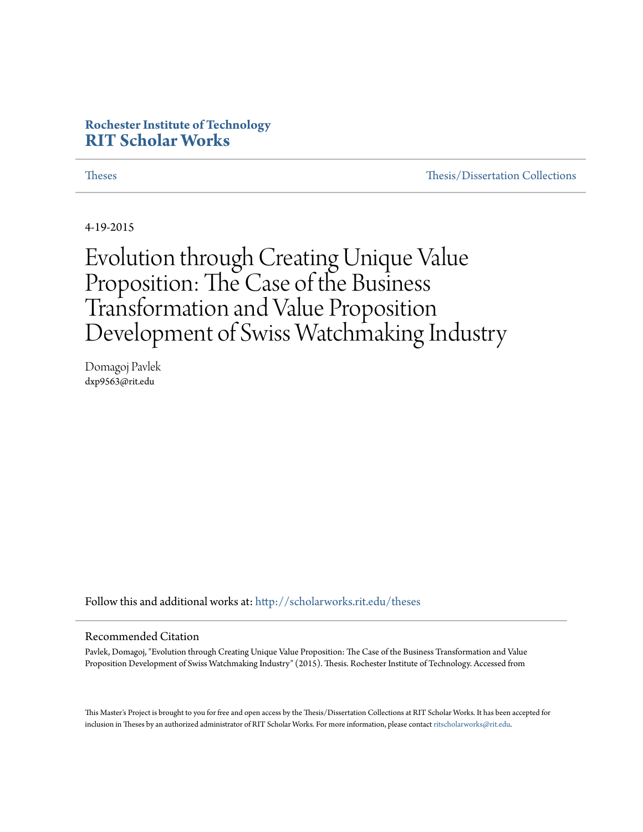#### **Rochester Institute of Technology [RIT Scholar Works](http://scholarworks.rit.edu?utm_source=scholarworks.rit.edu%2Ftheses%2F9366&utm_medium=PDF&utm_campaign=PDFCoverPages)**

[Theses](http://scholarworks.rit.edu/theses?utm_source=scholarworks.rit.edu%2Ftheses%2F9366&utm_medium=PDF&utm_campaign=PDFCoverPages) [Thesis/Dissertation Collections](http://scholarworks.rit.edu/etd_collections?utm_source=scholarworks.rit.edu%2Ftheses%2F9366&utm_medium=PDF&utm_campaign=PDFCoverPages)

4-19-2015

Evolution through Creating Unique Value Proposition: The Case of the Business Transformation and Value Proposition Development of Swiss Watchmaking Industry

Domagoj Pavlek dxp9563@rit.edu

Follow this and additional works at: [http://scholarworks.rit.edu/theses](http://scholarworks.rit.edu/theses?utm_source=scholarworks.rit.edu%2Ftheses%2F9366&utm_medium=PDF&utm_campaign=PDFCoverPages)

#### Recommended Citation

Pavlek, Domagoj, "Evolution through Creating Unique Value Proposition: The Case of the Business Transformation and Value Proposition Development of Swiss Watchmaking Industry" (2015). Thesis. Rochester Institute of Technology. Accessed from

This Master's Project is brought to you for free and open access by the Thesis/Dissertation Collections at RIT Scholar Works. It has been accepted for inclusion in Theses by an authorized administrator of RIT Scholar Works. For more information, please contact [ritscholarworks@rit.edu](mailto:ritscholarworks@rit.edu).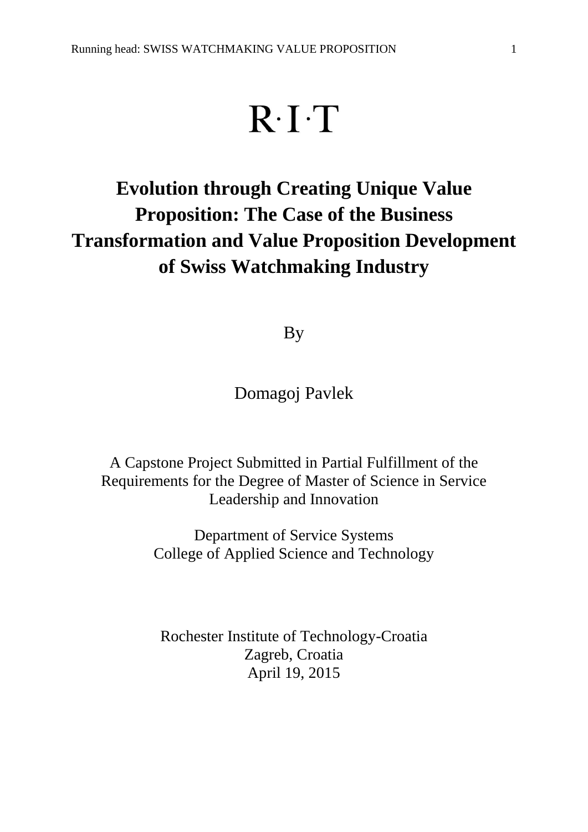# $R \cdot I \cdot T$

# **Evolution through Creating Unique Value Proposition: The Case of the Business Transformation and Value Proposition Development of Swiss Watchmaking Industry**

By

Domagoj Pavlek

A Capstone Project Submitted in Partial Fulfillment of the Requirements for the Degree of Master of Science in Service Leadership and Innovation

> Department of Service Systems College of Applied Science and Technology

Rochester Institute of Technology-Croatia Zagreb, Croatia April 19, 2015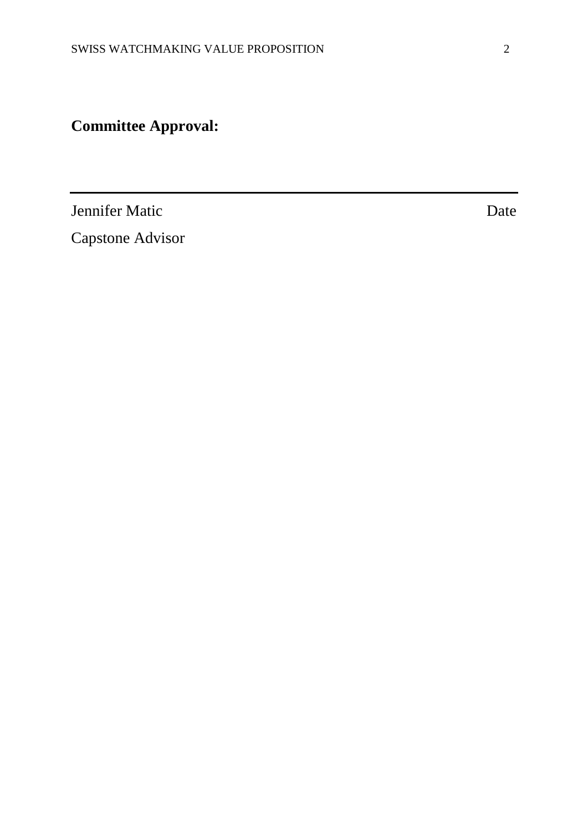## **Committee Approval:**

**Jennifer Matic** Date

Capstone Advisor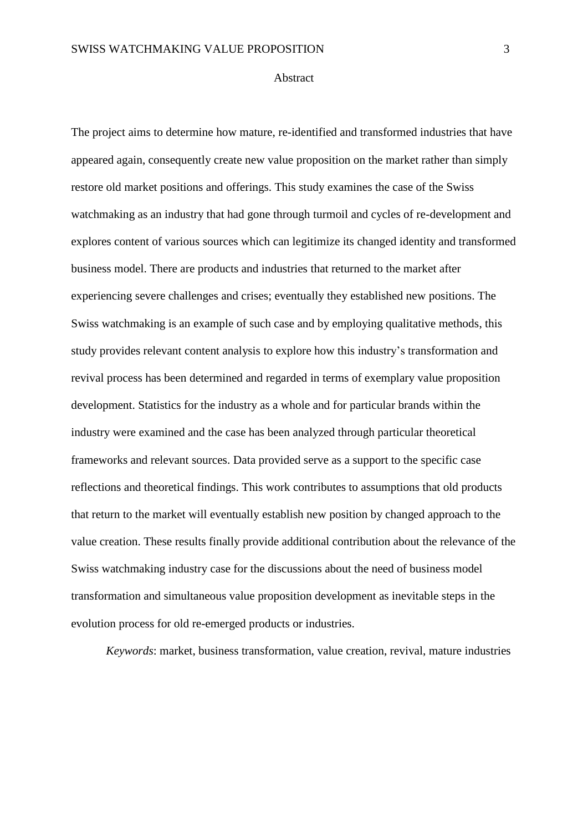#### Abstract

The project aims to determine how mature, re-identified and transformed industries that have appeared again, consequently create new value proposition on the market rather than simply restore old market positions and offerings. This study examines the case of the Swiss watchmaking as an industry that had gone through turmoil and cycles of re-development and explores content of various sources which can legitimize its changed identity and transformed business model. There are products and industries that returned to the market after experiencing severe challenges and crises; eventually they established new positions. The Swiss watchmaking is an example of such case and by employing qualitative methods, this study provides relevant content analysis to explore how this industry's transformation and revival process has been determined and regarded in terms of exemplary value proposition development. Statistics for the industry as a whole and for particular brands within the industry were examined and the case has been analyzed through particular theoretical frameworks and relevant sources. Data provided serve as a support to the specific case reflections and theoretical findings. This work contributes to assumptions that old products that return to the market will eventually establish new position by changed approach to the value creation. These results finally provide additional contribution about the relevance of the Swiss watchmaking industry case for the discussions about the need of business model transformation and simultaneous value proposition development as inevitable steps in the evolution process for old re-emerged products or industries.

*Keywords*: market, business transformation, value creation, revival, mature industries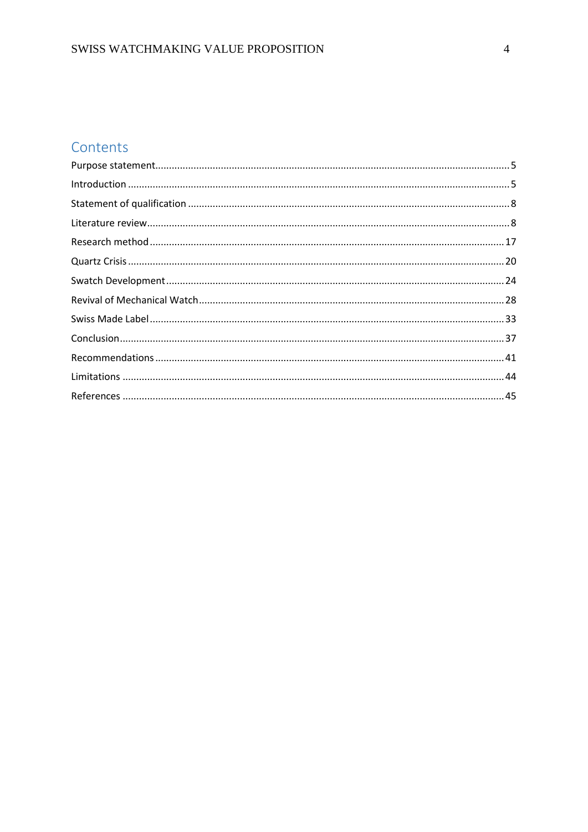### Contents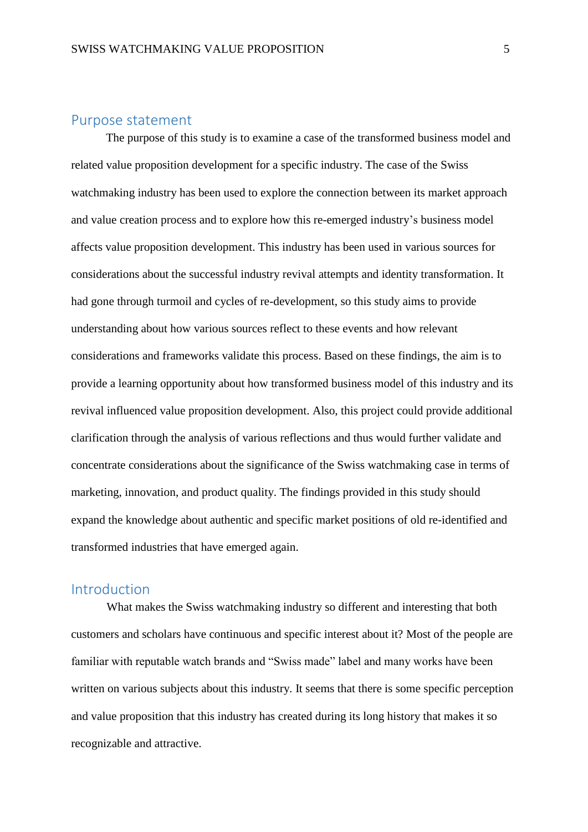#### <span id="page-5-0"></span>Purpose statement

The purpose of this study is to examine a case of the transformed business model and related value proposition development for a specific industry. The case of the Swiss watchmaking industry has been used to explore the connection between its market approach and value creation process and to explore how this re-emerged industry's business model affects value proposition development. This industry has been used in various sources for considerations about the successful industry revival attempts and identity transformation. It had gone through turmoil and cycles of re-development, so this study aims to provide understanding about how various sources reflect to these events and how relevant considerations and frameworks validate this process. Based on these findings, the aim is to provide a learning opportunity about how transformed business model of this industry and its revival influenced value proposition development. Also, this project could provide additional clarification through the analysis of various reflections and thus would further validate and concentrate considerations about the significance of the Swiss watchmaking case in terms of marketing, innovation, and product quality. The findings provided in this study should expand the knowledge about authentic and specific market positions of old re-identified and transformed industries that have emerged again.

#### <span id="page-5-1"></span>Introduction

What makes the Swiss watchmaking industry so different and interesting that both customers and scholars have continuous and specific interest about it? Most of the people are familiar with reputable watch brands and "Swiss made" label and many works have been written on various subjects about this industry. It seems that there is some specific perception and value proposition that this industry has created during its long history that makes it so recognizable and attractive.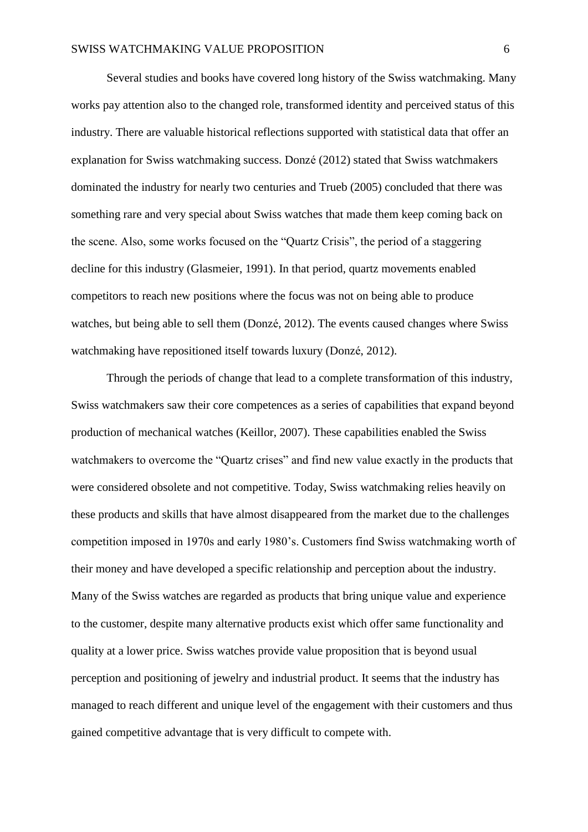Several studies and books have covered long history of the Swiss watchmaking. Many works pay attention also to the changed role, transformed identity and perceived status of this industry. There are valuable historical reflections supported with statistical data that offer an explanation for Swiss watchmaking success. Donzé (2012) stated that Swiss watchmakers dominated the industry for nearly two centuries and Trueb (2005) concluded that there was something rare and very special about Swiss watches that made them keep coming back on the scene. Also, some works focused on the "Quartz Crisis", the period of a staggering decline for this industry (Glasmeier, 1991). In that period, quartz movements enabled competitors to reach new positions where the focus was not on being able to produce watches, but being able to sell them (Donzé, 2012). The events caused changes where Swiss watchmaking have repositioned itself towards luxury (Donzé, 2012).

Through the periods of change that lead to a complete transformation of this industry, Swiss watchmakers saw their core competences as a series of capabilities that expand beyond production of mechanical watches (Keillor, 2007). These capabilities enabled the Swiss watchmakers to overcome the "Quartz crises" and find new value exactly in the products that were considered obsolete and not competitive. Today, Swiss watchmaking relies heavily on these products and skills that have almost disappeared from the market due to the challenges competition imposed in 1970s and early 1980's. Customers find Swiss watchmaking worth of their money and have developed a specific relationship and perception about the industry. Many of the Swiss watches are regarded as products that bring unique value and experience to the customer, despite many alternative products exist which offer same functionality and quality at a lower price. Swiss watches provide value proposition that is beyond usual perception and positioning of jewelry and industrial product. It seems that the industry has managed to reach different and unique level of the engagement with their customers and thus gained competitive advantage that is very difficult to compete with.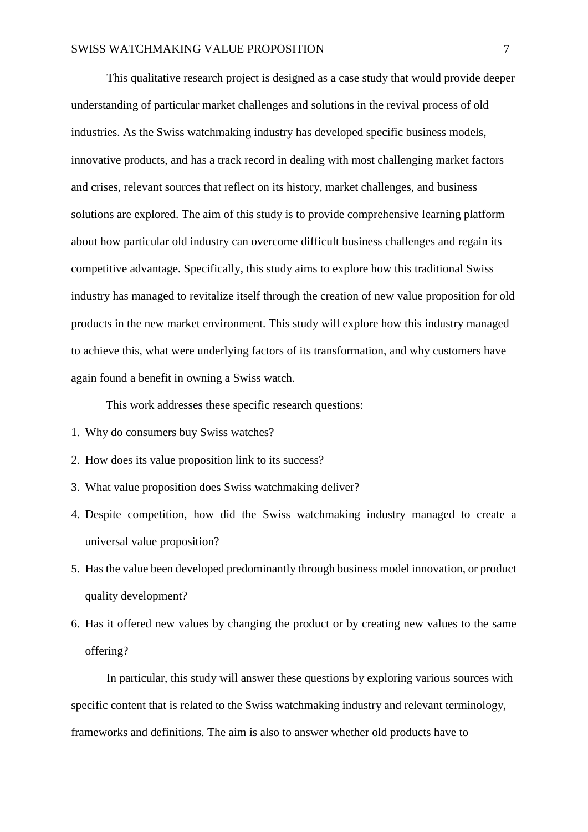This qualitative research project is designed as a case study that would provide deeper understanding of particular market challenges and solutions in the revival process of old industries. As the Swiss watchmaking industry has developed specific business models, innovative products, and has a track record in dealing with most challenging market factors and crises, relevant sources that reflect on its history, market challenges, and business solutions are explored. The aim of this study is to provide comprehensive learning platform about how particular old industry can overcome difficult business challenges and regain its competitive advantage. Specifically, this study aims to explore how this traditional Swiss industry has managed to revitalize itself through the creation of new value proposition for old products in the new market environment. This study will explore how this industry managed to achieve this, what were underlying factors of its transformation, and why customers have again found a benefit in owning a Swiss watch.

This work addresses these specific research questions:

- 1. Why do consumers buy Swiss watches?
- 2. How does its value proposition link to its success?
- 3. What value proposition does Swiss watchmaking deliver?
- 4. Despite competition, how did the Swiss watchmaking industry managed to create a universal value proposition?
- 5. Has the value been developed predominantly through business model innovation, or product quality development?
- 6. Has it offered new values by changing the product or by creating new values to the same offering?

In particular, this study will answer these questions by exploring various sources with specific content that is related to the Swiss watchmaking industry and relevant terminology, frameworks and definitions. The aim is also to answer whether old products have to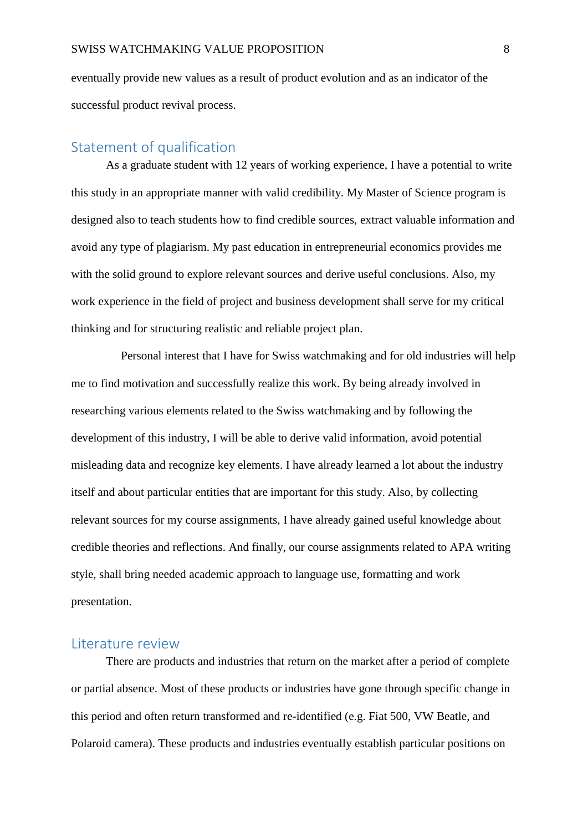eventually provide new values as a result of product evolution and as an indicator of the successful product revival process.

#### <span id="page-8-0"></span>Statement of qualification

As a graduate student with 12 years of working experience, I have a potential to write this study in an appropriate manner with valid credibility. My Master of Science program is designed also to teach students how to find credible sources, extract valuable information and avoid any type of plagiarism. My past education in entrepreneurial economics provides me with the solid ground to explore relevant sources and derive useful conclusions. Also, my work experience in the field of project and business development shall serve for my critical thinking and for structuring realistic and reliable project plan.

 Personal interest that I have for Swiss watchmaking and for old industries will help me to find motivation and successfully realize this work. By being already involved in researching various elements related to the Swiss watchmaking and by following the development of this industry, I will be able to derive valid information, avoid potential misleading data and recognize key elements. I have already learned a lot about the industry itself and about particular entities that are important for this study. Also, by collecting relevant sources for my course assignments, I have already gained useful knowledge about credible theories and reflections. And finally, our course assignments related to APA writing style, shall bring needed academic approach to language use, formatting and work presentation.

#### <span id="page-8-1"></span>Literature review

There are products and industries that return on the market after a period of complete or partial absence. Most of these products or industries have gone through specific change in this period and often return transformed and re-identified (e.g. Fiat 500, VW Beatle, and Polaroid camera). These products and industries eventually establish particular positions on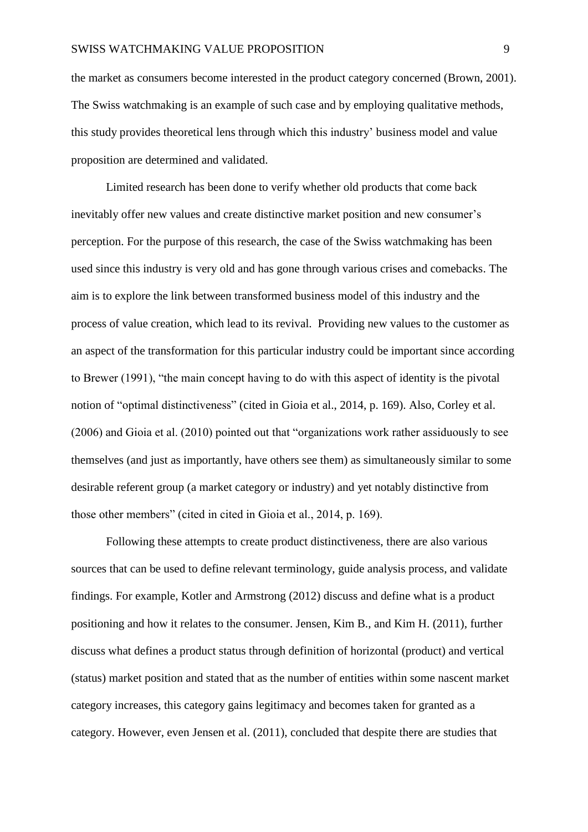the market as consumers become interested in the product category concerned (Brown, 2001). The Swiss watchmaking is an example of such case and by employing qualitative methods, this study provides theoretical lens through which this industry' business model and value proposition are determined and validated.

Limited research has been done to verify whether old products that come back inevitably offer new values and create distinctive market position and new consumer's perception. For the purpose of this research, the case of the Swiss watchmaking has been used since this industry is very old and has gone through various crises and comebacks. The aim is to explore the link between transformed business model of this industry and the process of value creation, which lead to its revival. Providing new values to the customer as an aspect of the transformation for this particular industry could be important since according to Brewer (1991), "the main concept having to do with this aspect of identity is the pivotal notion of "optimal distinctiveness" (cited in Gioia et al., 2014, p. 169). Also, Corley et al. (2006) and Gioia et al. (2010) pointed out that "organizations work rather assiduously to see themselves (and just as importantly, have others see them) as simultaneously similar to some desirable referent group (a market category or industry) and yet notably distinctive from those other members" (cited in cited in Gioia et al., 2014, p. 169).

Following these attempts to create product distinctiveness, there are also various sources that can be used to define relevant terminology, guide analysis process, and validate findings. For example, Kotler and Armstrong (2012) discuss and define what is a product positioning and how it relates to the consumer. Jensen, Kim B., and Kim H. (2011), further discuss what defines a product status through definition of horizontal (product) and vertical (status) market position and stated that as the number of entities within some nascent market category increases, this category gains legitimacy and becomes taken for granted as a category. However, even Jensen et al. (2011), concluded that despite there are studies that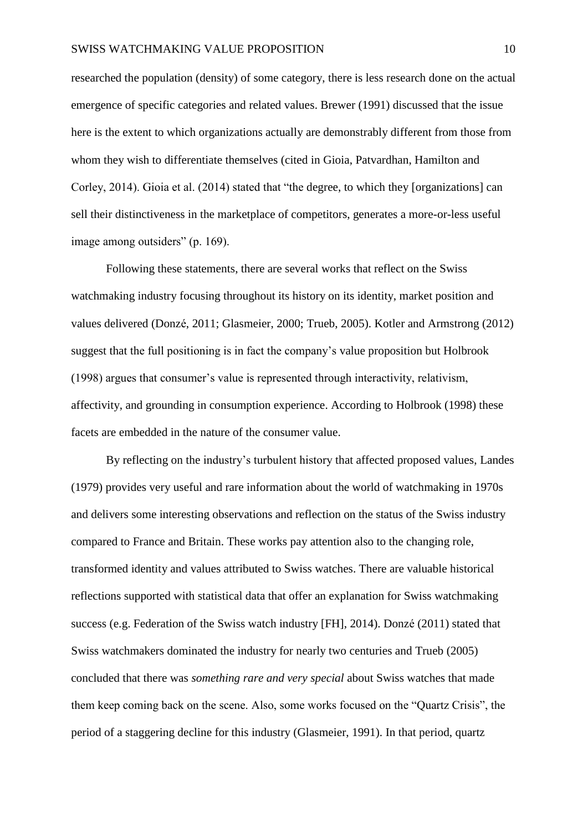researched the population (density) of some category, there is less research done on the actual emergence of specific categories and related values. Brewer (1991) discussed that the issue here is the extent to which organizations actually are demonstrably different from those from whom they wish to differentiate themselves (cited in Gioia, Patvardhan, Hamilton and Corley, 2014). Gioia et al. (2014) stated that "the degree, to which they [organizations] can sell their distinctiveness in the marketplace of competitors, generates a more-or-less useful image among outsiders" (p. 169).

Following these statements, there are several works that reflect on the Swiss watchmaking industry focusing throughout its history on its identity, market position and values delivered (Donzé, 2011; Glasmeier, 2000; Trueb, 2005). Kotler and Armstrong (2012) suggest that the full positioning is in fact the company's value proposition but Holbrook (1998) argues that consumer's value is represented through interactivity, relativism, affectivity, and grounding in consumption experience. According to Holbrook (1998) these facets are embedded in the nature of the consumer value.

By reflecting on the industry's turbulent history that affected proposed values, Landes (1979) provides very useful and rare information about the world of watchmaking in 1970s and delivers some interesting observations and reflection on the status of the Swiss industry compared to France and Britain. These works pay attention also to the changing role, transformed identity and values attributed to Swiss watches. There are valuable historical reflections supported with statistical data that offer an explanation for Swiss watchmaking success (e.g. Federation of the Swiss watch industry [FH], 2014). Donzé (2011) stated that Swiss watchmakers dominated the industry for nearly two centuries and Trueb (2005) concluded that there was *something rare and very special* about Swiss watches that made them keep coming back on the scene. Also, some works focused on the "Quartz Crisis", the period of a staggering decline for this industry (Glasmeier, 1991). In that period, quartz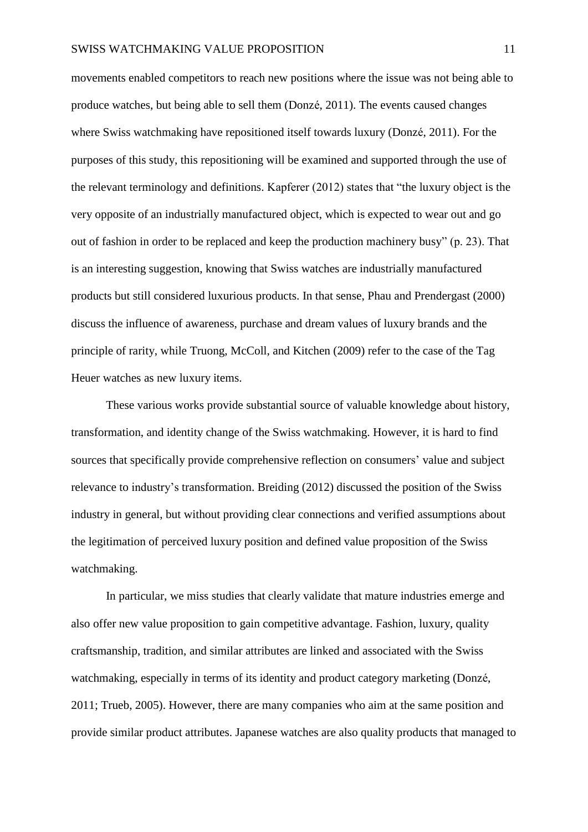movements enabled competitors to reach new positions where the issue was not being able to produce watches, but being able to sell them (Donzé, 2011). The events caused changes where Swiss watchmaking have repositioned itself towards luxury (Donzé, 2011). For the purposes of this study, this repositioning will be examined and supported through the use of the relevant terminology and definitions. Kapferer (2012) states that "the luxury object is the very opposite of an industrially manufactured object, which is expected to wear out and go out of fashion in order to be replaced and keep the production machinery busy" (p. 23). That is an interesting suggestion, knowing that Swiss watches are industrially manufactured products but still considered luxurious products. In that sense, Phau and Prendergast (2000) discuss the influence of awareness, purchase and dream values of luxury brands and the principle of rarity, while Truong, McColl, and Kitchen (2009) refer to the case of the Tag Heuer watches as new luxury items.

These various works provide substantial source of valuable knowledge about history, transformation, and identity change of the Swiss watchmaking. However, it is hard to find sources that specifically provide comprehensive reflection on consumers' value and subject relevance to industry's transformation. Breiding (2012) discussed the position of the Swiss industry in general, but without providing clear connections and verified assumptions about the legitimation of perceived luxury position and defined value proposition of the Swiss watchmaking.

In particular, we miss studies that clearly validate that mature industries emerge and also offer new value proposition to gain competitive advantage. Fashion, luxury, quality craftsmanship, tradition, and similar attributes are linked and associated with the Swiss watchmaking, especially in terms of its identity and product category marketing (Donzé, 2011; Trueb, 2005). However, there are many companies who aim at the same position and provide similar product attributes. Japanese watches are also quality products that managed to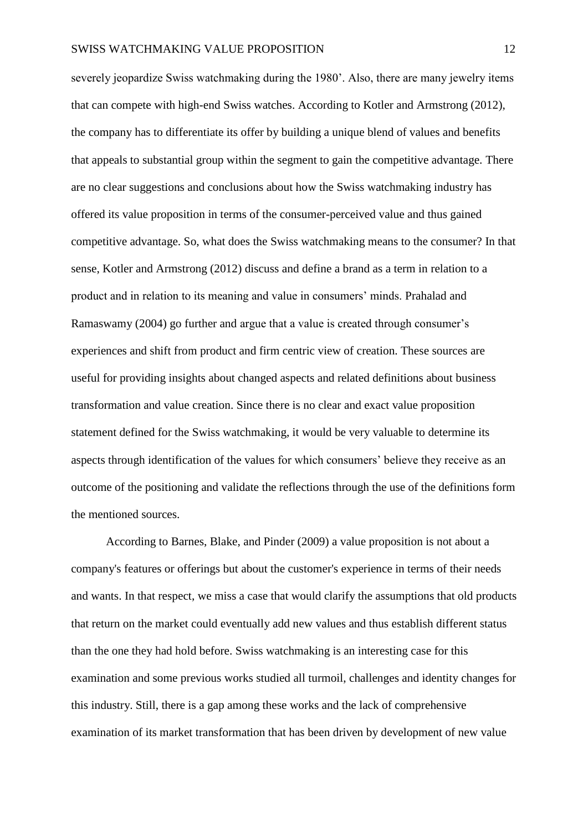severely jeopardize Swiss watchmaking during the 1980'. Also, there are many jewelry items that can compete with high-end Swiss watches. According to Kotler and Armstrong (2012), the company has to differentiate its offer by building a unique blend of values and benefits that appeals to substantial group within the segment to gain the competitive advantage. There are no clear suggestions and conclusions about how the Swiss watchmaking industry has offered its value proposition in terms of the consumer-perceived value and thus gained competitive advantage. So, what does the Swiss watchmaking means to the consumer? In that sense, Kotler and Armstrong (2012) discuss and define a brand as a term in relation to a product and in relation to its meaning and value in consumers' minds. Prahalad and Ramaswamy (2004) go further and argue that a value is created through consumer's experiences and shift from product and firm centric view of creation. These sources are useful for providing insights about changed aspects and related definitions about business transformation and value creation. Since there is no clear and exact value proposition statement defined for the Swiss watchmaking, it would be very valuable to determine its aspects through identification of the values for which consumers' believe they receive as an outcome of the positioning and validate the reflections through the use of the definitions form the mentioned sources.

According to Barnes, Blake, and Pinder (2009) a value proposition is not about a company's features or offerings but about the customer's experience in terms of their needs and wants. In that respect, we miss a case that would clarify the assumptions that old products that return on the market could eventually add new values and thus establish different status than the one they had hold before. Swiss watchmaking is an interesting case for this examination and some previous works studied all turmoil, challenges and identity changes for this industry. Still, there is a gap among these works and the lack of comprehensive examination of its market transformation that has been driven by development of new value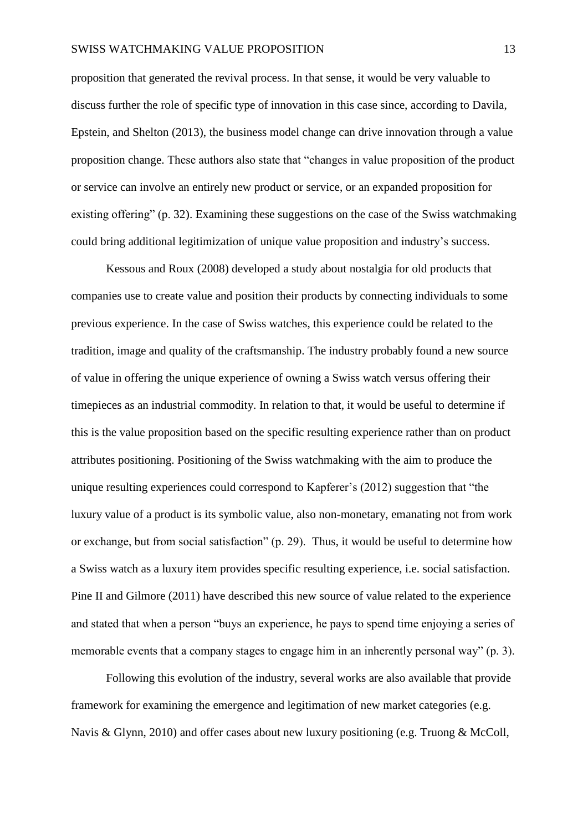proposition that generated the revival process. In that sense, it would be very valuable to discuss further the role of specific type of innovation in this case since, according to Davila, Epstein, and Shelton (2013), the business model change can drive innovation through a value proposition change. These authors also state that "changes in value proposition of the product or service can involve an entirely new product or service, or an expanded proposition for existing offering" (p. 32). Examining these suggestions on the case of the Swiss watchmaking could bring additional legitimization of unique value proposition and industry's success.

Kessous and Roux (2008) developed a study about nostalgia for old products that companies use to create value and position their products by connecting individuals to some previous experience. In the case of Swiss watches, this experience could be related to the tradition, image and quality of the craftsmanship. The industry probably found a new source of value in offering the unique experience of owning a Swiss watch versus offering their timepieces as an industrial commodity. In relation to that, it would be useful to determine if this is the value proposition based on the specific resulting experience rather than on product attributes positioning. Positioning of the Swiss watchmaking with the aim to produce the unique resulting experiences could correspond to Kapferer's (2012) suggestion that "the luxury value of a product is its symbolic value, also non-monetary, emanating not from work or exchange, but from social satisfaction" (p. 29). Thus, it would be useful to determine how a Swiss watch as a luxury item provides specific resulting experience, i.e. social satisfaction. Pine II and Gilmore (2011) have described this new source of value related to the experience and stated that when a person "buys an experience, he pays to spend time enjoying a series of memorable events that a company stages to engage him in an inherently personal way" (p. 3).

Following this evolution of the industry, several works are also available that provide framework for examining the emergence and legitimation of new market categories (e.g. Navis & Glynn, 2010) and offer cases about new luxury positioning (e.g. Truong & McColl,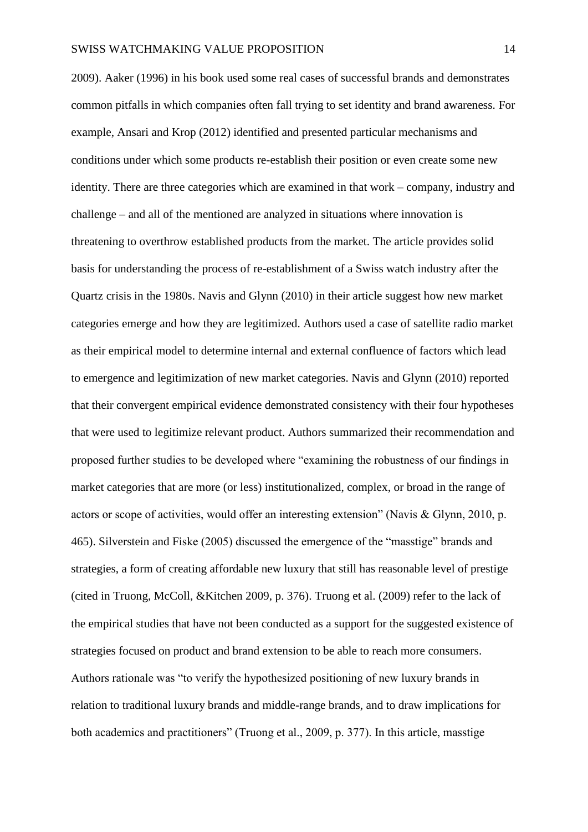2009). Aaker (1996) in his book used some real cases of successful brands and demonstrates common pitfalls in which companies often fall trying to set identity and brand awareness. For example, Ansari and Krop (2012) identified and presented particular mechanisms and conditions under which some products re-establish their position or even create some new identity. There are three categories which are examined in that work – company, industry and challenge – and all of the mentioned are analyzed in situations where innovation is threatening to overthrow established products from the market. The article provides solid basis for understanding the process of re-establishment of a Swiss watch industry after the Quartz crisis in the 1980s. Navis and Glynn (2010) in their article suggest how new market categories emerge and how they are legitimized. Authors used a case of satellite radio market as their empirical model to determine internal and external confluence of factors which lead to emergence and legitimization of new market categories. Navis and Glynn (2010) reported that their convergent empirical evidence demonstrated consistency with their four hypotheses that were used to legitimize relevant product. Authors summarized their recommendation and proposed further studies to be developed where "examining the robustness of our findings in market categories that are more (or less) institutionalized, complex, or broad in the range of actors or scope of activities, would offer an interesting extension" (Navis & Glynn, 2010, p. 465). Silverstein and Fiske (2005) discussed the emergence of the "masstige" brands and strategies, a form of creating affordable new luxury that still has reasonable level of prestige (cited in Truong, McColl, &Kitchen 2009, p. 376). Truong et al. (2009) refer to the lack of the empirical studies that have not been conducted as a support for the suggested existence of strategies focused on product and brand extension to be able to reach more consumers. Authors rationale was "to verify the hypothesized positioning of new luxury brands in relation to traditional luxury brands and middle-range brands, and to draw implications for both academics and practitioners" (Truong et al., 2009, p. 377). In this article, masstige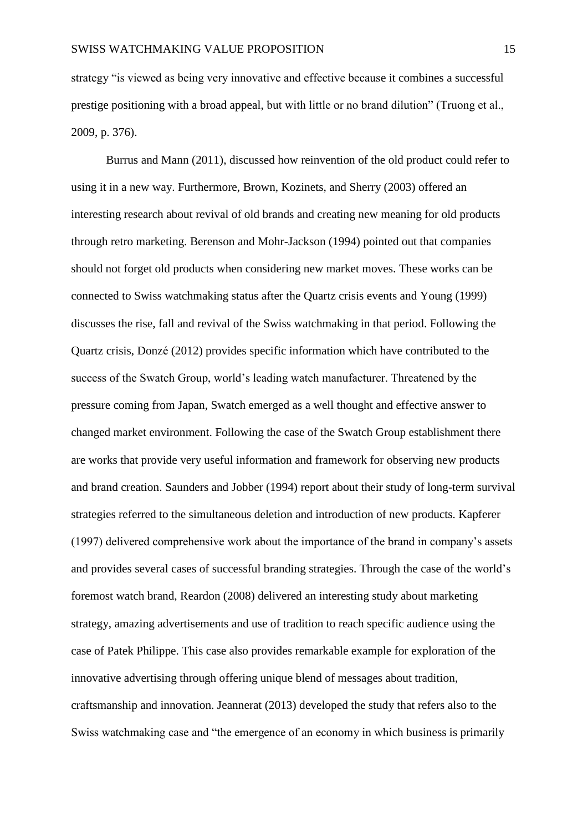strategy "is viewed as being very innovative and effective because it combines a successful prestige positioning with a broad appeal, but with little or no brand dilution" (Truong et al., 2009, p. 376).

Burrus and Mann (2011), discussed how reinvention of the old product could refer to using it in a new way. Furthermore, Brown, Kozinets, and Sherry (2003) offered an interesting research about revival of old brands and creating new meaning for old products through retro marketing. Berenson and Mohr-Jackson (1994) pointed out that companies should not forget old products when considering new market moves. These works can be connected to Swiss watchmaking status after the Quartz crisis events and Young (1999) discusses the rise, fall and revival of the Swiss watchmaking in that period. Following the Quartz crisis, Donzé (2012) provides specific information which have contributed to the success of the Swatch Group, world's leading watch manufacturer. Threatened by the pressure coming from Japan, Swatch emerged as a well thought and effective answer to changed market environment. Following the case of the Swatch Group establishment there are works that provide very useful information and framework for observing new products and brand creation. Saunders and Jobber (1994) report about their study of long-term survival strategies referred to the simultaneous deletion and introduction of new products. Kapferer (1997) delivered comprehensive work about the importance of the brand in company's assets and provides several cases of successful branding strategies. Through the case of the world's foremost watch brand, Reardon (2008) delivered an interesting study about marketing strategy, amazing advertisements and use of tradition to reach specific audience using the case of Patek Philippe. This case also provides remarkable example for exploration of the innovative advertising through offering unique blend of messages about tradition, craftsmanship and innovation. Jeannerat (2013) developed the study that refers also to the Swiss watchmaking case and "the emergence of an economy in which business is primarily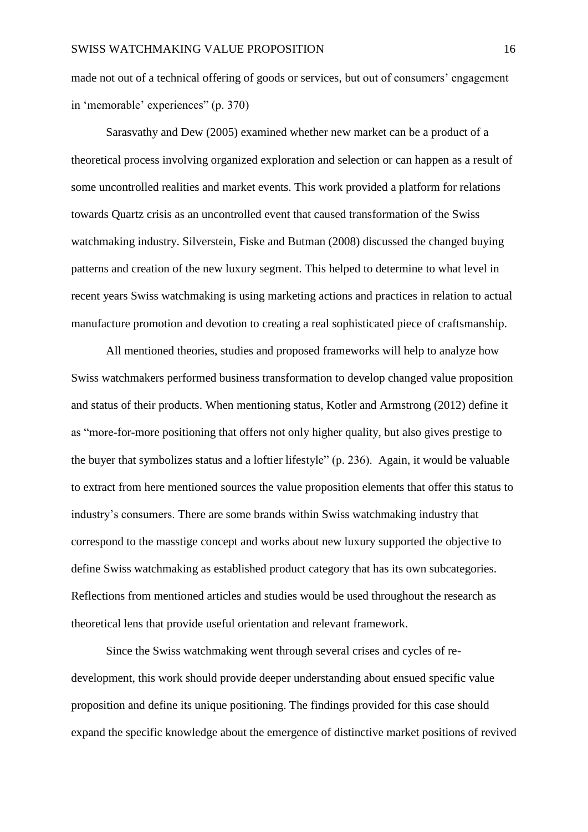made not out of a technical offering of goods or services, but out of consumers' engagement in 'memorable' experiences" (p. 370)

Sarasvathy and Dew (2005) examined whether new market can be a product of a theoretical process involving organized exploration and selection or can happen as a result of some uncontrolled realities and market events. This work provided a platform for relations towards Quartz crisis as an uncontrolled event that caused transformation of the Swiss watchmaking industry. Silverstein, Fiske and Butman (2008) discussed the changed buying patterns and creation of the new luxury segment. This helped to determine to what level in recent years Swiss watchmaking is using marketing actions and practices in relation to actual manufacture promotion and devotion to creating a real sophisticated piece of craftsmanship.

All mentioned theories, studies and proposed frameworks will help to analyze how Swiss watchmakers performed business transformation to develop changed value proposition and status of their products. When mentioning status, Kotler and Armstrong (2012) define it as "more-for-more positioning that offers not only higher quality, but also gives prestige to the buyer that symbolizes status and a loftier lifestyle" (p. 236). Again, it would be valuable to extract from here mentioned sources the value proposition elements that offer this status to industry's consumers. There are some brands within Swiss watchmaking industry that correspond to the masstige concept and works about new luxury supported the objective to define Swiss watchmaking as established product category that has its own subcategories. Reflections from mentioned articles and studies would be used throughout the research as theoretical lens that provide useful orientation and relevant framework.

Since the Swiss watchmaking went through several crises and cycles of redevelopment, this work should provide deeper understanding about ensued specific value proposition and define its unique positioning. The findings provided for this case should expand the specific knowledge about the emergence of distinctive market positions of revived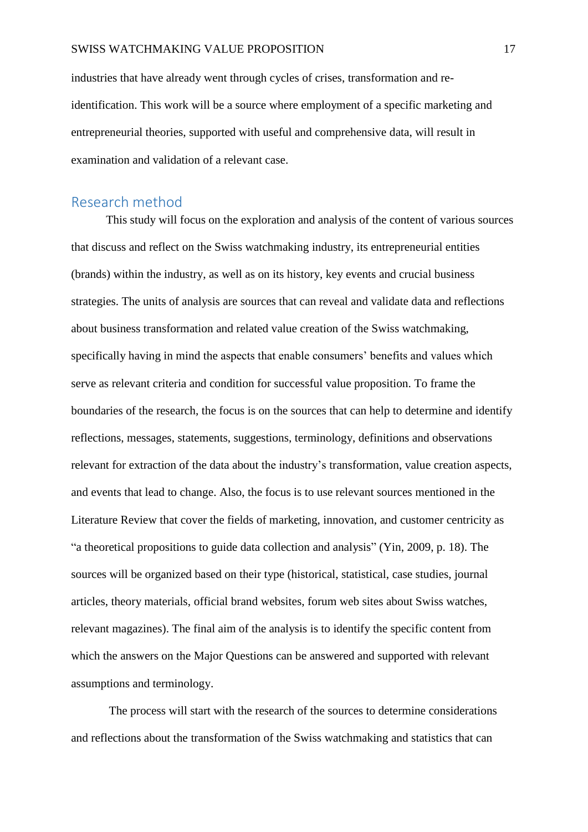industries that have already went through cycles of crises, transformation and reidentification. This work will be a source where employment of a specific marketing and entrepreneurial theories, supported with useful and comprehensive data, will result in examination and validation of a relevant case.

#### <span id="page-17-0"></span>Research method

This study will focus on the exploration and analysis of the content of various sources that discuss and reflect on the Swiss watchmaking industry, its entrepreneurial entities (brands) within the industry, as well as on its history, key events and crucial business strategies. The units of analysis are sources that can reveal and validate data and reflections about business transformation and related value creation of the Swiss watchmaking, specifically having in mind the aspects that enable consumers' benefits and values which serve as relevant criteria and condition for successful value proposition. To frame the boundaries of the research, the focus is on the sources that can help to determine and identify reflections, messages, statements, suggestions, terminology, definitions and observations relevant for extraction of the data about the industry's transformation, value creation aspects, and events that lead to change. Also, the focus is to use relevant sources mentioned in the Literature Review that cover the fields of marketing, innovation, and customer centricity as "a theoretical propositions to guide data collection and analysis" (Yin, 2009, p. 18). The sources will be organized based on their type (historical, statistical, case studies, journal articles, theory materials, official brand websites, forum web sites about Swiss watches, relevant magazines). The final aim of the analysis is to identify the specific content from which the answers on the Major Questions can be answered and supported with relevant assumptions and terminology.

The process will start with the research of the sources to determine considerations and reflections about the transformation of the Swiss watchmaking and statistics that can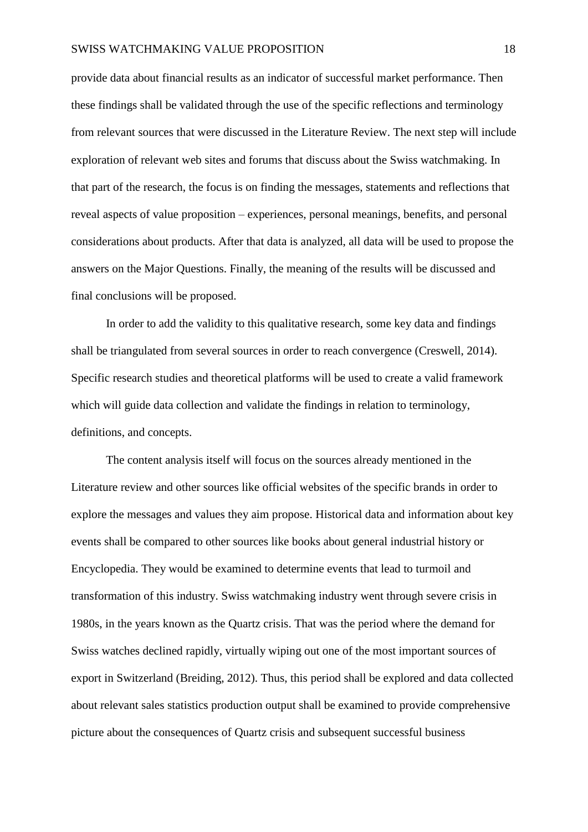#### SWISS WATCHMAKING VALUE PROPOSITION 18

provide data about financial results as an indicator of successful market performance. Then these findings shall be validated through the use of the specific reflections and terminology from relevant sources that were discussed in the Literature Review. The next step will include exploration of relevant web sites and forums that discuss about the Swiss watchmaking. In that part of the research, the focus is on finding the messages, statements and reflections that reveal aspects of value proposition – experiences, personal meanings, benefits, and personal considerations about products. After that data is analyzed, all data will be used to propose the answers on the Major Questions. Finally, the meaning of the results will be discussed and final conclusions will be proposed.

In order to add the validity to this qualitative research, some key data and findings shall be triangulated from several sources in order to reach convergence (Creswell, 2014). Specific research studies and theoretical platforms will be used to create a valid framework which will guide data collection and validate the findings in relation to terminology, definitions, and concepts.

The content analysis itself will focus on the sources already mentioned in the Literature review and other sources like official websites of the specific brands in order to explore the messages and values they aim propose. Historical data and information about key events shall be compared to other sources like books about general industrial history or Encyclopedia. They would be examined to determine events that lead to turmoil and transformation of this industry. Swiss watchmaking industry went through severe crisis in 1980s, in the years known as the Quartz crisis. That was the period where the demand for Swiss watches declined rapidly, virtually wiping out one of the most important sources of export in Switzerland (Breiding, 2012). Thus, this period shall be explored and data collected about relevant sales statistics production output shall be examined to provide comprehensive picture about the consequences of Quartz crisis and subsequent successful business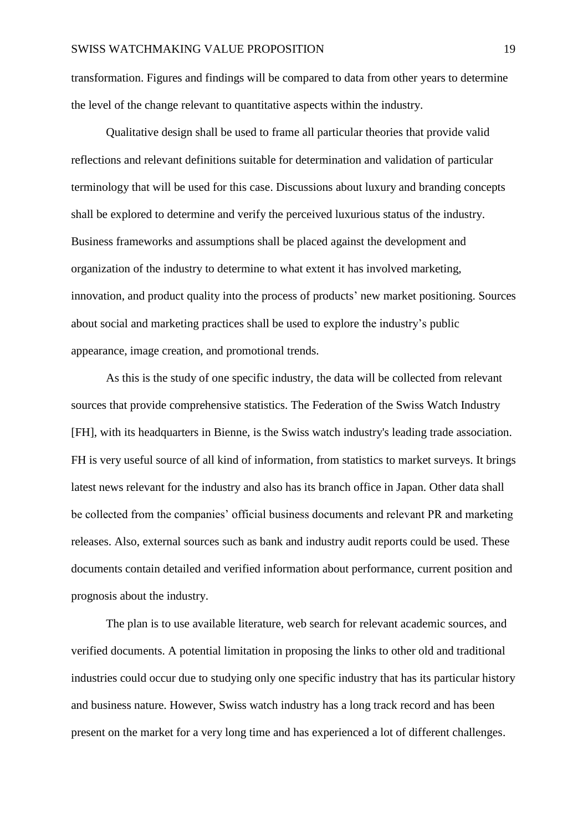transformation. Figures and findings will be compared to data from other years to determine the level of the change relevant to quantitative aspects within the industry.

Qualitative design shall be used to frame all particular theories that provide valid reflections and relevant definitions suitable for determination and validation of particular terminology that will be used for this case. Discussions about luxury and branding concepts shall be explored to determine and verify the perceived luxurious status of the industry. Business frameworks and assumptions shall be placed against the development and organization of the industry to determine to what extent it has involved marketing, innovation, and product quality into the process of products' new market positioning. Sources about social and marketing practices shall be used to explore the industry's public appearance, image creation, and promotional trends.

As this is the study of one specific industry, the data will be collected from relevant sources that provide comprehensive statistics. The Federation of the Swiss Watch Industry [FH], with its headquarters in Bienne, is the Swiss watch industry's leading trade association. FH is very useful source of all kind of information, from statistics to market surveys. It brings latest news relevant for the industry and also has its branch office in Japan. Other data shall be collected from the companies' official business documents and relevant PR and marketing releases. Also, external sources such as bank and industry audit reports could be used. These documents contain detailed and verified information about performance, current position and prognosis about the industry.

The plan is to use available literature, web search for relevant academic sources, and verified documents. A potential limitation in proposing the links to other old and traditional industries could occur due to studying only one specific industry that has its particular history and business nature. However, Swiss watch industry has a long track record and has been present on the market for a very long time and has experienced a lot of different challenges.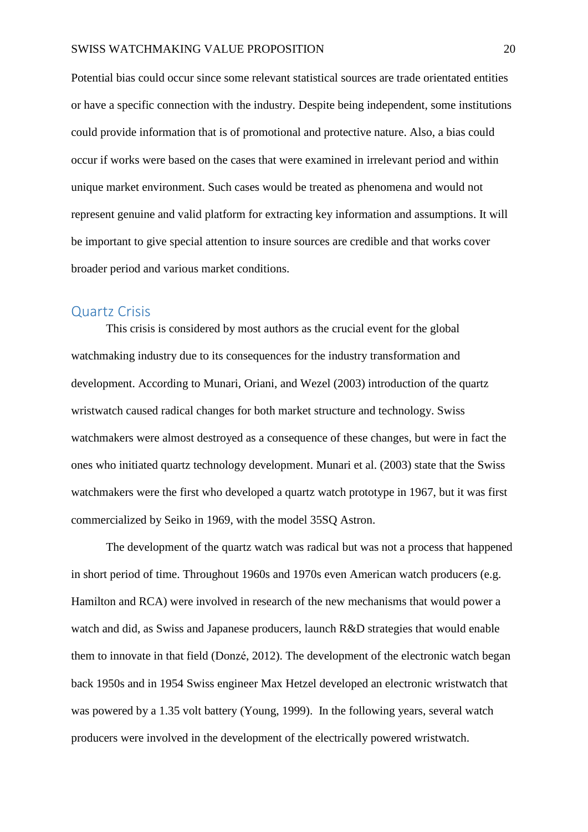Potential bias could occur since some relevant statistical sources are trade orientated entities or have a specific connection with the industry. Despite being independent, some institutions could provide information that is of promotional and protective nature. Also, a bias could occur if works were based on the cases that were examined in irrelevant period and within unique market environment. Such cases would be treated as phenomena and would not represent genuine and valid platform for extracting key information and assumptions. It will be important to give special attention to insure sources are credible and that works cover broader period and various market conditions.

#### <span id="page-20-0"></span>Quartz Crisis

This crisis is considered by most authors as the crucial event for the global watchmaking industry due to its consequences for the industry transformation and development. According to Munari, Oriani, and Wezel (2003) introduction of the quartz wristwatch caused radical changes for both market structure and technology. Swiss watchmakers were almost destroyed as a consequence of these changes, but were in fact the ones who initiated quartz technology development. Munari et al. (2003) state that the Swiss watchmakers were the first who developed a quartz watch prototype in 1967, but it was first commercialized by Seiko in 1969, with the model 35SQ Astron.

The development of the quartz watch was radical but was not a process that happened in short period of time. Throughout 1960s and 1970s even American watch producers (e.g. Hamilton and RCA) were involved in research of the new mechanisms that would power a watch and did, as Swiss and Japanese producers, launch R&D strategies that would enable them to innovate in that field (Donzé, 2012). The development of the electronic watch began back 1950s and in 1954 Swiss engineer Max Hetzel developed an electronic wristwatch that was powered by a 1.35 volt battery (Young, 1999). In the following years, several watch producers were involved in the development of the electrically powered wristwatch.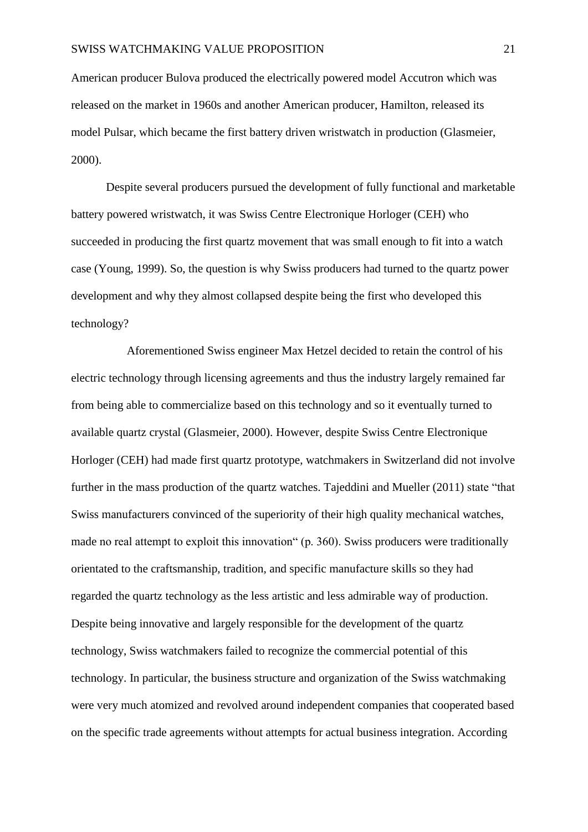American producer Bulova produced the electrically powered model Accutron which was released on the market in 1960s and another American producer, Hamilton, released its model Pulsar, which became the first battery driven wristwatch in production (Glasmeier, 2000).

Despite several producers pursued the development of fully functional and marketable battery powered wristwatch, it was Swiss Centre Electronique Horloger (CEH) who succeeded in producing the first quartz movement that was small enough to fit into a watch case (Young, 1999). So, the question is why Swiss producers had turned to the quartz power development and why they almost collapsed despite being the first who developed this technology?

 Aforementioned Swiss engineer Max Hetzel decided to retain the control of his electric technology through licensing agreements and thus the industry largely remained far from being able to commercialize based on this technology and so it eventually turned to available quartz crystal (Glasmeier, 2000). However, despite Swiss Centre Electronique Horloger (CEH) had made first quartz prototype, watchmakers in Switzerland did not involve further in the mass production of the quartz watches. Tajeddini and Mueller (2011) state "that Swiss manufacturers convinced of the superiority of their high quality mechanical watches, made no real attempt to exploit this innovation" (p. 360). Swiss producers were traditionally orientated to the craftsmanship, tradition, and specific manufacture skills so they had regarded the quartz technology as the less artistic and less admirable way of production. Despite being innovative and largely responsible for the development of the quartz technology, Swiss watchmakers failed to recognize the commercial potential of this technology. In particular, the business structure and organization of the Swiss watchmaking were very much atomized and revolved around independent companies that cooperated based on the specific trade agreements without attempts for actual business integration. According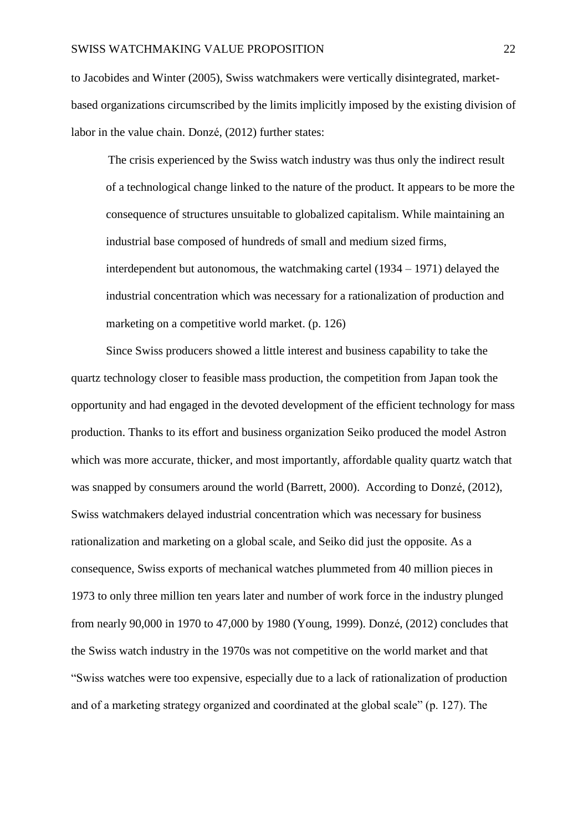to Jacobides and Winter (2005), Swiss watchmakers were vertically disintegrated, marketbased organizations circumscribed by the limits implicitly imposed by the existing division of labor in the value chain. Donzé, (2012) further states:

The crisis experienced by the Swiss watch industry was thus only the indirect result of a technological change linked to the nature of the product. It appears to be more the consequence of structures unsuitable to globalized capitalism. While maintaining an industrial base composed of hundreds of small and medium sized firms, interdependent but autonomous, the watchmaking cartel (1934 – 1971) delayed the industrial concentration which was necessary for a rationalization of production and marketing on a competitive world market. (p. 126)

Since Swiss producers showed a little interest and business capability to take the quartz technology closer to feasible mass production, the competition from Japan took the opportunity and had engaged in the devoted development of the efficient technology for mass production. Thanks to its effort and business organization Seiko produced the model Astron which was more accurate, thicker, and most importantly, affordable quality quartz watch that was snapped by consumers around the world (Barrett, 2000). According to Donzé, (2012), Swiss watchmakers delayed industrial concentration which was necessary for business rationalization and marketing on a global scale, and Seiko did just the opposite. As a consequence, Swiss exports of mechanical watches plummeted from 40 million pieces in 1973 to only three million ten years later and number of work force in the industry plunged from nearly 90,000 in 1970 to 47,000 by 1980 (Young, 1999). Donzé, (2012) concludes that the Swiss watch industry in the 1970s was not competitive on the world market and that "Swiss watches were too expensive, especially due to a lack of rationalization of production and of a marketing strategy organized and coordinated at the global scale" (p. 127). The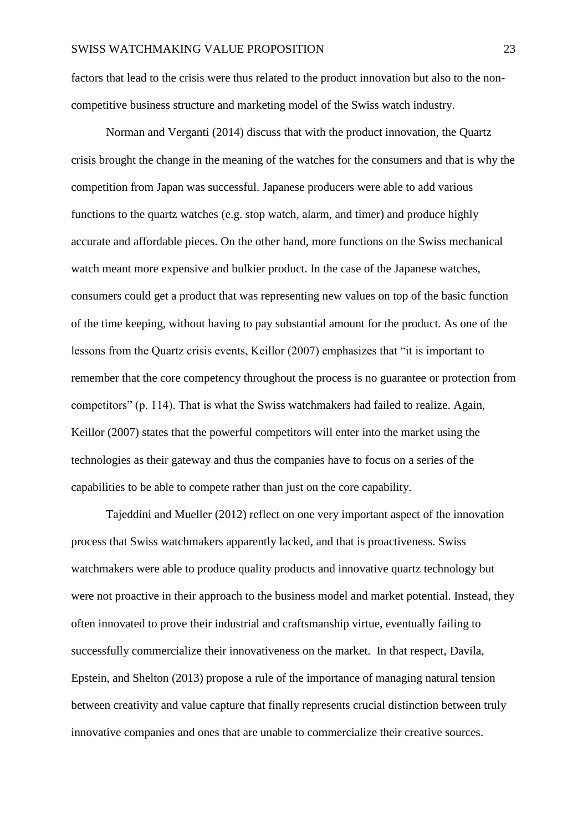factors that lead to the crisis were thus related to the product innovation but also to the noncompetitive business structure and marketing model of the Swiss watch industry.

Norman and Verganti (2014) discuss that with the product innovation, the Quartz crisis brought the change in the meaning of the watches for the consumers and that is why the competition from Japan was successful. Japanese producers were able to add various functions to the quartz watches (e.g. stop watch, alarm, and timer) and produce highly accurate and affordable pieces. On the other hand, more functions on the Swiss mechanical watch meant more expensive and bulkier product. In the case of the Japanese watches, consumers could get a product that was representing new values on top of the basic function of the time keeping, without having to pay substantial amount for the product. As one of the lessons from the Quartz crisis events, Keillor (2007) emphasizes that "it is important to remember that the core competency throughout the process is no guarantee or protection from competitors" (p. 114). That is what the Swiss watchmakers had failed to realize. Again, Keillor (2007) states that the powerful competitors will enter into the market using the technologies as their gateway and thus the companies have to focus on a series of the capabilities to be able to compete rather than just on the core capability.

Tajeddini and Mueller (2012) reflect on one very important aspect of the innovation process that Swiss watchmakers apparently lacked, and that is proactiveness. Swiss watchmakers were able to produce quality products and innovative quartz technology but were not proactive in their approach to the business model and market potential. Instead, they often innovated to prove their industrial and craftsmanship virtue, eventually failing to successfully commercialize their innovativeness on the market. In that respect, Davila, Epstein, and Shelton (2013) propose a rule of the importance of managing natural tension between creativity and value capture that finally represents crucial distinction between truly innovative companies and ones that are unable to commercialize their creative sources.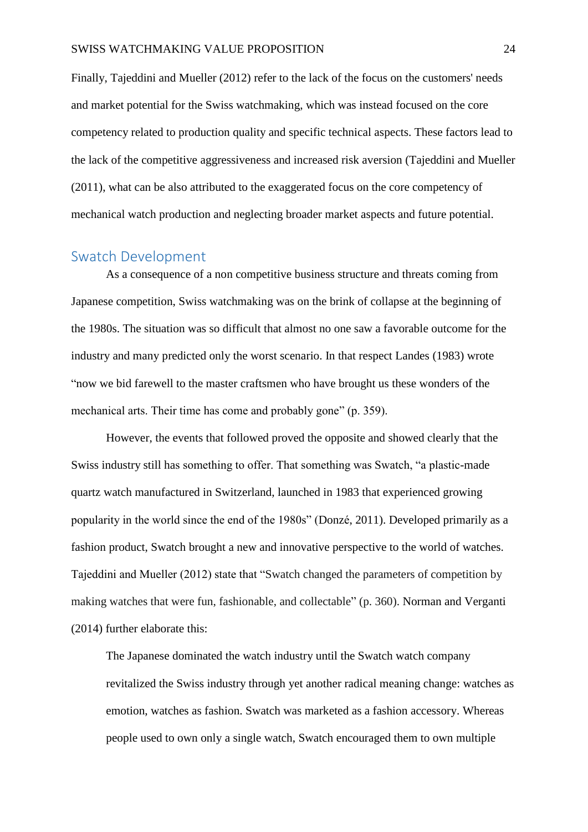Finally, Tajeddini and Mueller (2012) refer to the lack of the focus on the customers' needs and market potential for the Swiss watchmaking, which was instead focused on the core competency related to production quality and specific technical aspects. These factors lead to the lack of the competitive aggressiveness and increased risk aversion (Tajeddini and Mueller (2011), what can be also attributed to the exaggerated focus on the core competency of mechanical watch production and neglecting broader market aspects and future potential.

#### <span id="page-24-0"></span>Swatch Development

As a consequence of a non competitive business structure and threats coming from Japanese competition, Swiss watchmaking was on the brink of collapse at the beginning of the 1980s. The situation was so difficult that almost no one saw a favorable outcome for the industry and many predicted only the worst scenario. In that respect Landes (1983) wrote "now we bid farewell to the master craftsmen who have brought us these wonders of the mechanical arts. Their time has come and probably gone" (p. 359).

However, the events that followed proved the opposite and showed clearly that the Swiss industry still has something to offer. That something was Swatch, "a plastic-made quartz watch manufactured in Switzerland, launched in 1983 that experienced growing popularity in the world since the end of the 1980s" (Donzé, 2011). Developed primarily as a fashion product, Swatch brought a new and innovative perspective to the world of watches. Tajeddini and Mueller (2012) state that "Swatch changed the parameters of competition by making watches that were fun, fashionable, and collectable" (p. 360). Norman and Verganti (2014) further elaborate this:

The Japanese dominated the watch industry until the Swatch watch company revitalized the Swiss industry through yet another radical meaning change: watches as emotion, watches as fashion. Swatch was marketed as a fashion accessory. Whereas people used to own only a single watch, Swatch encouraged them to own multiple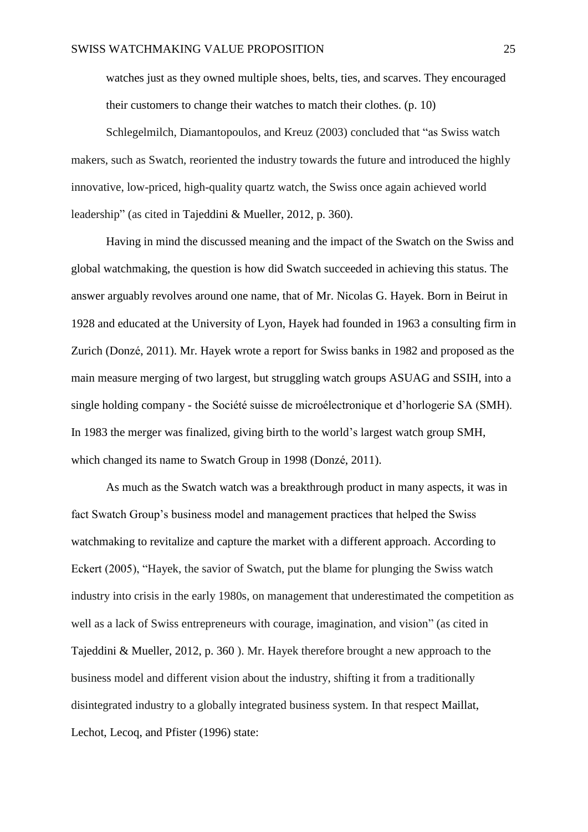watches just as they owned multiple shoes, belts, ties, and scarves. They encouraged their customers to change their watches to match their clothes. (p. 10)

Schlegelmilch, Diamantopoulos, and Kreuz (2003) concluded that "as Swiss watch makers, such as Swatch, reoriented the industry towards the future and introduced the highly innovative, low-priced, high-quality quartz watch, the Swiss once again achieved world leadership" (as cited in Tajeddini & Mueller, 2012, p. 360).

Having in mind the discussed meaning and the impact of the Swatch on the Swiss and global watchmaking, the question is how did Swatch succeeded in achieving this status. The answer arguably revolves around one name, that of Mr. Nicolas G. Hayek. Born in Beirut in 1928 and educated at the University of Lyon, Hayek had founded in 1963 a consulting firm in Zurich (Donzé, 2011). Mr. Hayek wrote a report for Swiss banks in 1982 and proposed as the main measure merging of two largest, but struggling watch groups ASUAG and SSIH, into a single holding company - the Société suisse de microélectronique et d'horlogerie SA (SMH). In 1983 the merger was finalized, giving birth to the world's largest watch group SMH, which changed its name to Swatch Group in 1998 (Donzé, 2011).

As much as the Swatch watch was a breakthrough product in many aspects, it was in fact Swatch Group's business model and management practices that helped the Swiss watchmaking to revitalize and capture the market with a different approach. According to Eckert (2005), "Hayek, the savior of Swatch, put the blame for plunging the Swiss watch industry into crisis in the early 1980s, on management that underestimated the competition as well as a lack of Swiss entrepreneurs with courage, imagination, and vision" (as cited in Tajeddini & Mueller, 2012, p. 360 ). Mr. Hayek therefore brought a new approach to the business model and different vision about the industry, shifting it from a traditionally disintegrated industry to a globally integrated business system. In that respect Maillat, Lechot, Lecoq, and Pfister (1996) state: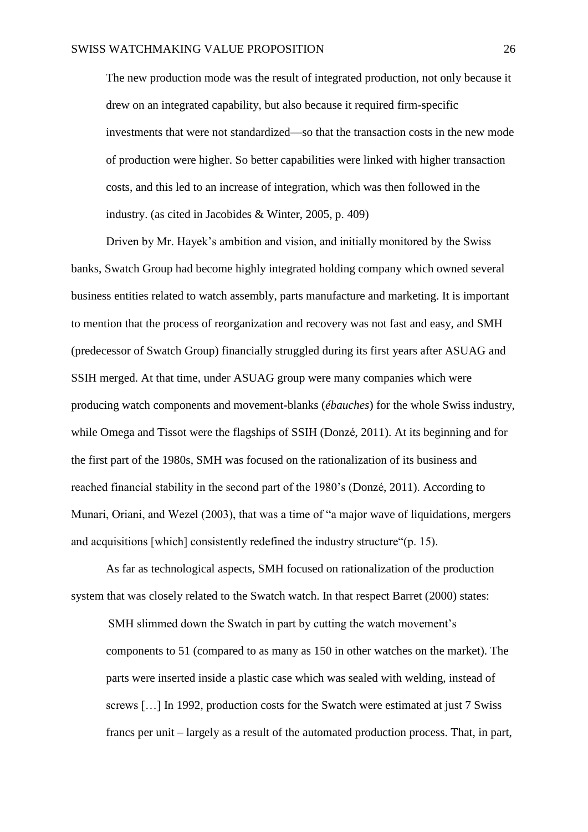The new production mode was the result of integrated production, not only because it drew on an integrated capability, but also because it required firm-specific investments that were not standardized—so that the transaction costs in the new mode of production were higher. So better capabilities were linked with higher transaction costs, and this led to an increase of integration, which was then followed in the industry. (as cited in Jacobides & Winter, 2005, p. 409)

Driven by Mr. Hayek's ambition and vision, and initially monitored by the Swiss banks, Swatch Group had become highly integrated holding company which owned several business entities related to watch assembly, parts manufacture and marketing. It is important to mention that the process of reorganization and recovery was not fast and easy, and SMH (predecessor of Swatch Group) financially struggled during its first years after ASUAG and SSIH merged. At that time, under ASUAG group were many companies which were producing watch components and movement-blanks (*ébauches*) for the whole Swiss industry, while Omega and Tissot were the flagships of SSIH (Donzé, 2011). At its beginning and for the first part of the 1980s, SMH was focused on the rationalization of its business and reached financial stability in the second part of the 1980's (Donzé, 2011). According to Munari, Oriani, and Wezel (2003), that was a time of "a major wave of liquidations, mergers and acquisitions [which] consistently redefined the industry structure"(p. 15).

As far as technological aspects, SMH focused on rationalization of the production system that was closely related to the Swatch watch. In that respect Barret (2000) states:

SMH slimmed down the Swatch in part by cutting the watch movement's components to 51 (compared to as many as 150 in other watches on the market). The parts were inserted inside a plastic case which was sealed with welding, instead of screws […] In 1992, production costs for the Swatch were estimated at just 7 Swiss francs per unit – largely as a result of the automated production process. That, in part,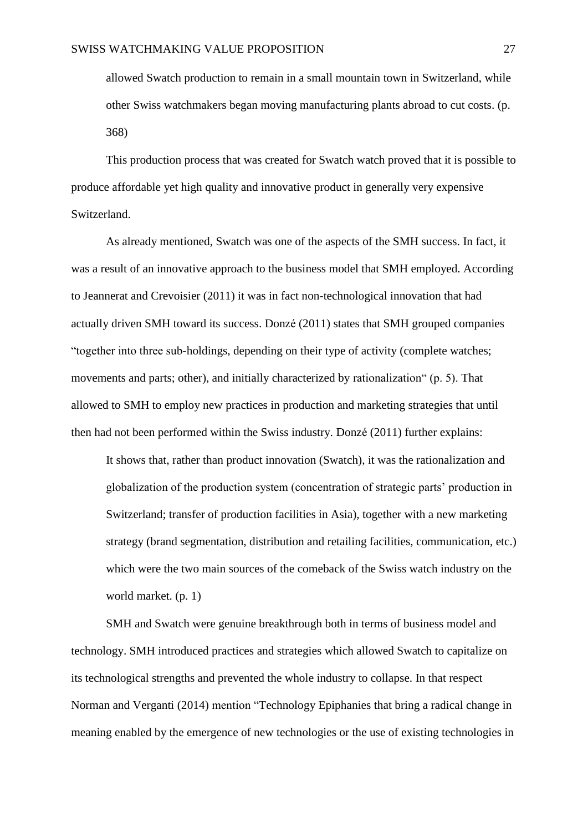allowed Swatch production to remain in a small mountain town in Switzerland, while other Swiss watchmakers began moving manufacturing plants abroad to cut costs. (p. 368)

This production process that was created for Swatch watch proved that it is possible to produce affordable yet high quality and innovative product in generally very expensive Switzerland.

As already mentioned, Swatch was one of the aspects of the SMH success. In fact, it was a result of an innovative approach to the business model that SMH employed. According to Jeannerat and Crevoisier (2011) it was in fact non-technological innovation that had actually driven SMH toward its success. Donzé (2011) states that SMH grouped companies "together into three sub-holdings, depending on their type of activity (complete watches; movements and parts; other), and initially characterized by rationalization" (p. 5). That allowed to SMH to employ new practices in production and marketing strategies that until then had not been performed within the Swiss industry. Donzé (2011) further explains:

It shows that, rather than product innovation (Swatch), it was the rationalization and globalization of the production system (concentration of strategic parts' production in Switzerland; transfer of production facilities in Asia), together with a new marketing strategy (brand segmentation, distribution and retailing facilities, communication, etc.) which were the two main sources of the comeback of the Swiss watch industry on the world market. (p. 1)

SMH and Swatch were genuine breakthrough both in terms of business model and technology. SMH introduced practices and strategies which allowed Swatch to capitalize on its technological strengths and prevented the whole industry to collapse. In that respect Norman and Verganti (2014) mention "Technology Epiphanies that bring a radical change in meaning enabled by the emergence of new technologies or the use of existing technologies in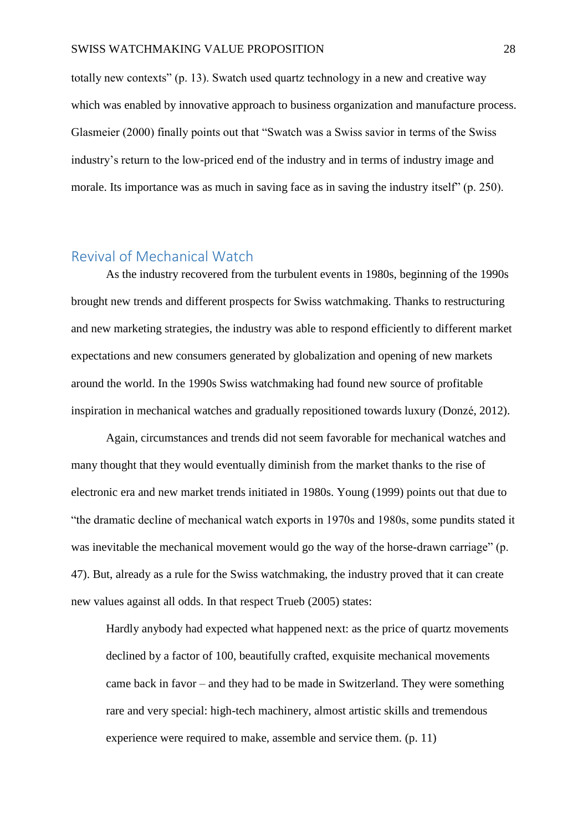totally new contexts" (p. 13). Swatch used quartz technology in a new and creative way which was enabled by innovative approach to business organization and manufacture process. Glasmeier (2000) finally points out that "Swatch was a Swiss savior in terms of the Swiss industry's return to the low-priced end of the industry and in terms of industry image and morale. Its importance was as much in saving face as in saving the industry itself" (p. 250).

#### <span id="page-28-0"></span>Revival of Mechanical Watch

As the industry recovered from the turbulent events in 1980s, beginning of the 1990s brought new trends and different prospects for Swiss watchmaking. Thanks to restructuring and new marketing strategies, the industry was able to respond efficiently to different market expectations and new consumers generated by globalization and opening of new markets around the world. In the 1990s Swiss watchmaking had found new source of profitable inspiration in mechanical watches and gradually repositioned towards luxury (Donzé, 2012).

Again, circumstances and trends did not seem favorable for mechanical watches and many thought that they would eventually diminish from the market thanks to the rise of electronic era and new market trends initiated in 1980s. Young (1999) points out that due to "the dramatic decline of mechanical watch exports in 1970s and 1980s, some pundits stated it was inevitable the mechanical movement would go the way of the horse-drawn carriage" (p. 47). But, already as a rule for the Swiss watchmaking, the industry proved that it can create new values against all odds. In that respect Trueb (2005) states:

Hardly anybody had expected what happened next: as the price of quartz movements declined by a factor of 100, beautifully crafted, exquisite mechanical movements came back in favor – and they had to be made in Switzerland. They were something rare and very special: high-tech machinery, almost artistic skills and tremendous experience were required to make, assemble and service them. (p. 11)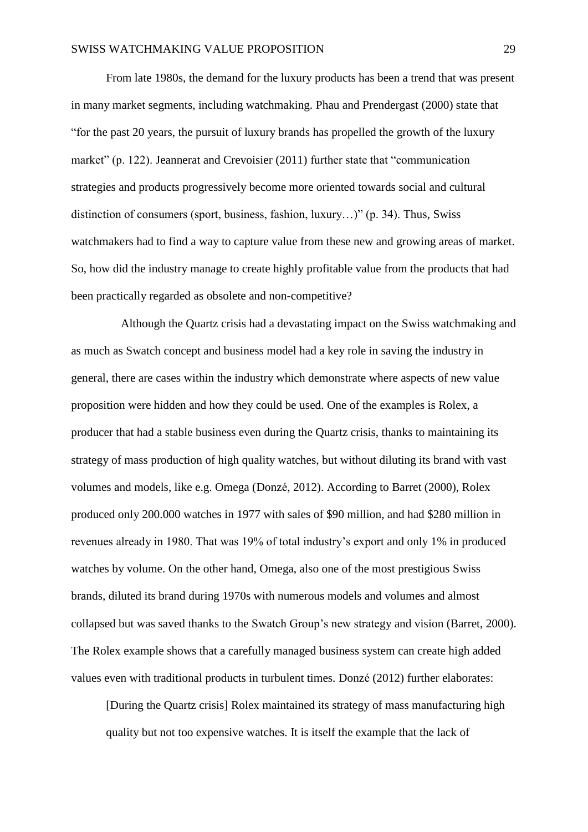From late 1980s, the demand for the luxury products has been a trend that was present in many market segments, including watchmaking. Phau and Prendergast (2000) state that "for the past 20 years, the pursuit of luxury brands has propelled the growth of the luxury market" (p. 122). Jeannerat and Crevoisier (2011) further state that "communication strategies and products progressively become more oriented towards social and cultural distinction of consumers (sport, business, fashion, luxury…)" (p. 34). Thus, Swiss watchmakers had to find a way to capture value from these new and growing areas of market. So, how did the industry manage to create highly profitable value from the products that had been practically regarded as obsolete and non-competitive?

 Although the Quartz crisis had a devastating impact on the Swiss watchmaking and as much as Swatch concept and business model had a key role in saving the industry in general, there are cases within the industry which demonstrate where aspects of new value proposition were hidden and how they could be used. One of the examples is Rolex, a producer that had a stable business even during the Quartz crisis, thanks to maintaining its strategy of mass production of high quality watches, but without diluting its brand with vast volumes and models, like e.g. Omega (Donzé, 2012). According to Barret (2000), Rolex produced only 200.000 watches in 1977 with sales of \$90 million, and had \$280 million in revenues already in 1980. That was 19% of total industry's export and only 1% in produced watches by volume. On the other hand, Omega, also one of the most prestigious Swiss brands, diluted its brand during 1970s with numerous models and volumes and almost collapsed but was saved thanks to the Swatch Group's new strategy and vision (Barret, 2000). The Rolex example shows that a carefully managed business system can create high added values even with traditional products in turbulent times. Donzé (2012) further elaborates:

[During the Quartz crisis] Rolex maintained its strategy of mass manufacturing high quality but not too expensive watches. It is itself the example that the lack of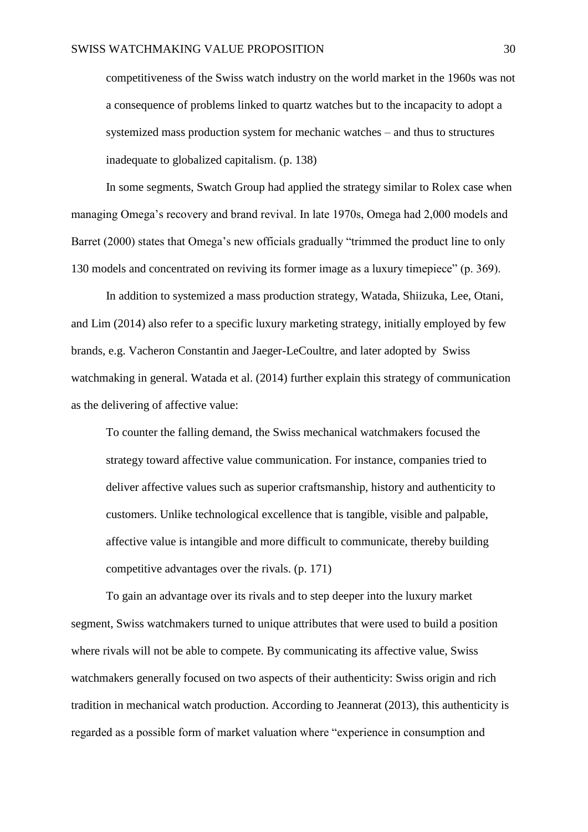competitiveness of the Swiss watch industry on the world market in the 1960s was not a consequence of problems linked to quartz watches but to the incapacity to adopt a systemized mass production system for mechanic watches – and thus to structures inadequate to globalized capitalism. (p. 138)

In some segments, Swatch Group had applied the strategy similar to Rolex case when managing Omega's recovery and brand revival. In late 1970s, Omega had 2,000 models and Barret (2000) states that Omega's new officials gradually "trimmed the product line to only 130 models and concentrated on reviving its former image as a luxury timepiece" (p. 369).

In addition to systemized a mass production strategy, Watada, Shiizuka, Lee, Otani, and Lim (2014) also refer to a specific luxury marketing strategy, initially employed by few brands, e.g. Vacheron Constantin and Jaeger-LeCoultre, and later adopted by Swiss watchmaking in general. Watada et al. (2014) further explain this strategy of communication as the delivering of affective value:

To counter the falling demand, the Swiss mechanical watchmakers focused the strategy toward affective value communication. For instance, companies tried to deliver affective values such as superior craftsmanship, history and authenticity to customers. Unlike technological excellence that is tangible, visible and palpable, affective value is intangible and more difficult to communicate, thereby building competitive advantages over the rivals. (p. 171)

To gain an advantage over its rivals and to step deeper into the luxury market segment, Swiss watchmakers turned to unique attributes that were used to build a position where rivals will not be able to compete. By communicating its affective value, Swiss watchmakers generally focused on two aspects of their authenticity: Swiss origin and rich tradition in mechanical watch production. According to Jeannerat (2013), this authenticity is regarded as a possible form of market valuation where "experience in consumption and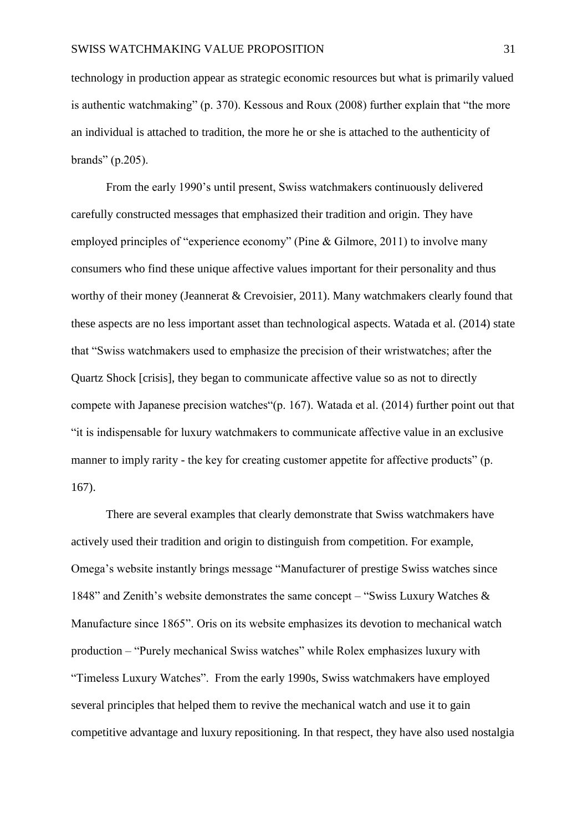technology in production appear as strategic economic resources but what is primarily valued is authentic watchmaking" (p. 370). Kessous and Roux (2008) further explain that "the more an individual is attached to tradition, the more he or she is attached to the authenticity of brands" (p.205).

From the early 1990's until present, Swiss watchmakers continuously delivered carefully constructed messages that emphasized their tradition and origin. They have employed principles of "experience economy" (Pine & Gilmore, 2011) to involve many consumers who find these unique affective values important for their personality and thus worthy of their money (Jeannerat & Crevoisier, 2011). Many watchmakers clearly found that these aspects are no less important asset than technological aspects. Watada et al. (2014) state that "Swiss watchmakers used to emphasize the precision of their wristwatches; after the Quartz Shock [crisis], they began to communicate affective value so as not to directly compete with Japanese precision watches"(p. 167). Watada et al. (2014) further point out that "it is indispensable for luxury watchmakers to communicate affective value in an exclusive manner to imply rarity - the key for creating customer appetite for affective products" (p. 167).

There are several examples that clearly demonstrate that Swiss watchmakers have actively used their tradition and origin to distinguish from competition. For example, Omega's website instantly brings message "Manufacturer of prestige Swiss watches since 1848" and Zenith's website demonstrates the same concept – "Swiss Luxury Watches & Manufacture since 1865". Oris on its website emphasizes its devotion to mechanical watch production – "Purely mechanical Swiss watches" while Rolex emphasizes luxury with "Timeless Luxury Watches". From the early 1990s, Swiss watchmakers have employed several principles that helped them to revive the mechanical watch and use it to gain competitive advantage and luxury repositioning. In that respect, they have also used nostalgia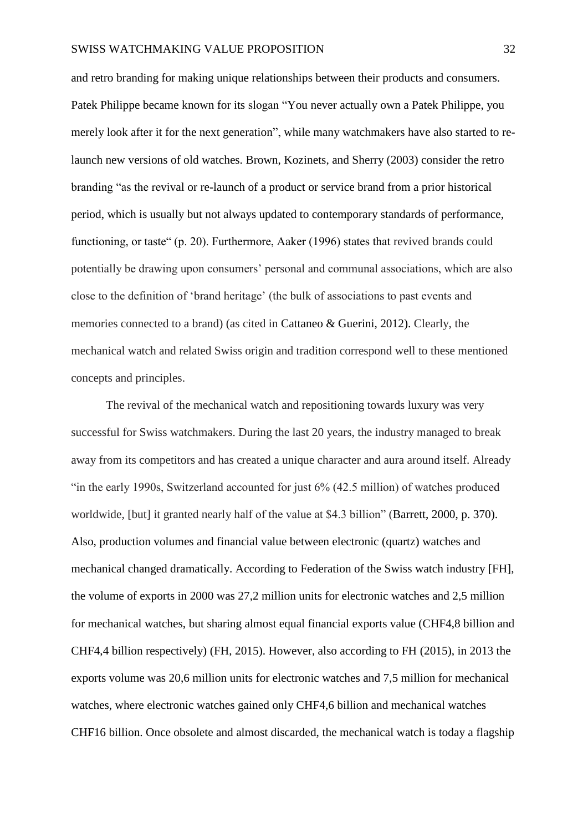and retro branding for making unique relationships between their products and consumers. Patek Philippe became known for its slogan "You never actually own a Patek Philippe, you merely look after it for the next generation", while many watchmakers have also started to relaunch new versions of old watches. Brown, Kozinets, and Sherry (2003) consider the retro branding "as the revival or re-launch of a product or service brand from a prior historical period, which is usually but not always updated to contemporary standards of performance, functioning, or taste" (p. 20). Furthermore, Aaker (1996) states that revived brands could potentially be drawing upon consumers' personal and communal associations, which are also close to the definition of 'brand heritage' (the bulk of associations to past events and memories connected to a brand) (as cited in Cattaneo & Guerini, 2012). Clearly, the mechanical watch and related Swiss origin and tradition correspond well to these mentioned concepts and principles.

The revival of the mechanical watch and repositioning towards luxury was very successful for Swiss watchmakers. During the last 20 years, the industry managed to break away from its competitors and has created a unique character and aura around itself. Already "in the early 1990s, Switzerland accounted for just 6% (42.5 million) of watches produced worldwide, [but] it granted nearly half of the value at \$4.3 billion" (Barrett, 2000, p. 370). Also, production volumes and financial value between electronic (quartz) watches and mechanical changed dramatically. According to Federation of the Swiss watch industry [FH], the volume of exports in 2000 was 27,2 million units for electronic watches and 2,5 million for mechanical watches, but sharing almost equal financial exports value (CHF4,8 billion and CHF4,4 billion respectively) (FH, 2015). However, also according to FH (2015), in 2013 the exports volume was 20,6 million units for electronic watches and 7,5 million for mechanical watches, where electronic watches gained only CHF4,6 billion and mechanical watches CHF16 billion. Once obsolete and almost discarded, the mechanical watch is today a flagship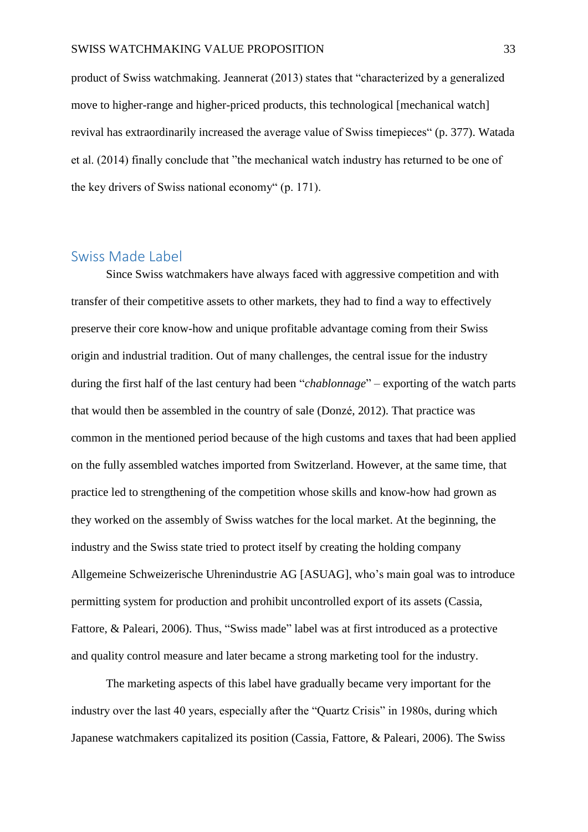product of Swiss watchmaking. Jeannerat (2013) states that "characterized by a generalized move to higher-range and higher-priced products, this technological [mechanical watch] revival has extraordinarily increased the average value of Swiss timepieces" (p. 377). Watada et al. (2014) finally conclude that "the mechanical watch industry has returned to be one of the key drivers of Swiss national economy" (p. 171).

#### <span id="page-33-0"></span>Swiss Made Label

Since Swiss watchmakers have always faced with aggressive competition and with transfer of their competitive assets to other markets, they had to find a way to effectively preserve their core know-how and unique profitable advantage coming from their Swiss origin and industrial tradition. Out of many challenges, the central issue for the industry during the first half of the last century had been "*chablonnage*" – exporting of the watch parts that would then be assembled in the country of sale (Donzé, 2012). That practice was common in the mentioned period because of the high customs and taxes that had been applied on the fully assembled watches imported from Switzerland. However, at the same time, that practice led to strengthening of the competition whose skills and know-how had grown as they worked on the assembly of Swiss watches for the local market. At the beginning, the industry and the Swiss state tried to protect itself by creating the holding company Allgemeine Schweizerische Uhrenindustrie AG [ASUAG], who's main goal was to introduce permitting system for production and prohibit uncontrolled export of its assets (Cassia, Fattore, & Paleari, 2006). Thus, "Swiss made" label was at first introduced as a protective and quality control measure and later became a strong marketing tool for the industry.

The marketing aspects of this label have gradually became very important for the industry over the last 40 years, especially after the "Quartz Crisis" in 1980s, during which Japanese watchmakers capitalized its position (Cassia, Fattore, & Paleari, 2006). The Swiss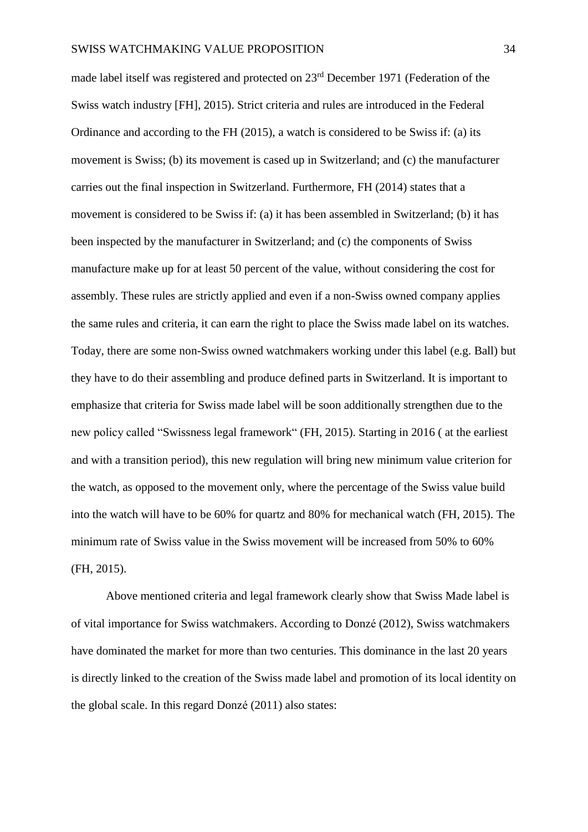made label itself was registered and protected on 23rd December 1971 (Federation of the Swiss watch industry [FH], 2015). Strict criteria and rules are introduced in the Federal Ordinance and according to the FH (2015), a watch is considered to be Swiss if: (a) its movement is Swiss; (b) its movement is cased up in Switzerland; and (c) the manufacturer carries out the final inspection in Switzerland. Furthermore, FH (2014) states that a movement is considered to be Swiss if: (a) it has been assembled in Switzerland; (b) it has been inspected by the manufacturer in Switzerland; and (c) the components of Swiss manufacture make up for at least 50 percent of the value, without considering the cost for assembly. These rules are strictly applied and even if a non-Swiss owned company applies the same rules and criteria, it can earn the right to place the Swiss made label on its watches. Today, there are some non-Swiss owned watchmakers working under this label (e.g. Ball) but they have to do their assembling and produce defined parts in Switzerland. It is important to emphasize that criteria for Swiss made label will be soon additionally strengthen due to the new policy called "Swissness legal framework" (FH, 2015). Starting in 2016 ( at the earliest and with a transition period), this new regulation will bring new minimum value criterion for the watch, as opposed to the movement only, where the percentage of the Swiss value build into the watch will have to be 60% for quartz and 80% for mechanical watch (FH, 2015). The minimum rate of Swiss value in the Swiss movement will be increased from 50% to 60% (FH, 2015).

Above mentioned criteria and legal framework clearly show that Swiss Made label is of vital importance for Swiss watchmakers. According to Donzé (2012), Swiss watchmakers have dominated the market for more than two centuries. This dominance in the last 20 years is directly linked to the creation of the Swiss made label and promotion of its local identity on the global scale. In this regard Donzé (2011) also states: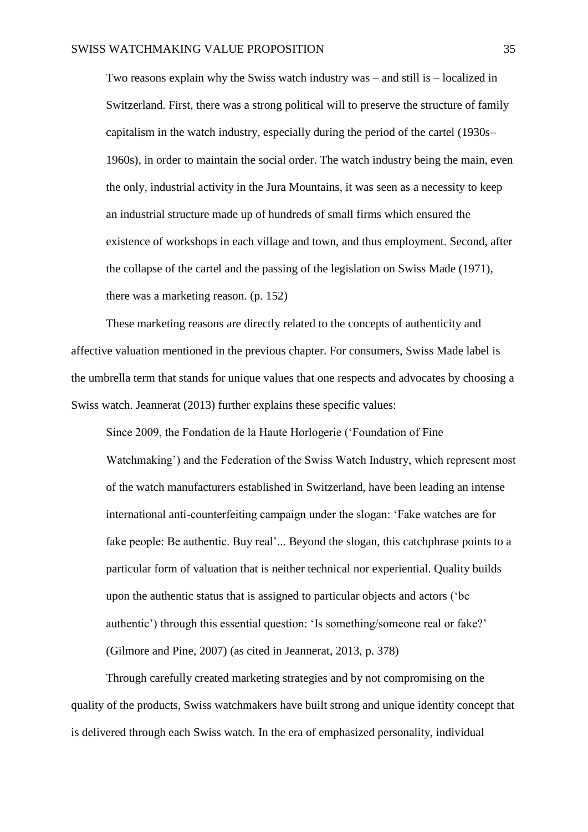Two reasons explain why the Swiss watch industry was – and still is – localized in Switzerland. First, there was a strong political will to preserve the structure of family capitalism in the watch industry, especially during the period of the cartel (1930s– 1960s), in order to maintain the social order. The watch industry being the main, even the only, industrial activity in the Jura Mountains, it was seen as a necessity to keep an industrial structure made up of hundreds of small firms which ensured the existence of workshops in each village and town, and thus employment. Second, after the collapse of the cartel and the passing of the legislation on Swiss Made (1971), there was a marketing reason. (p. 152)

These marketing reasons are directly related to the concepts of authenticity and affective valuation mentioned in the previous chapter. For consumers, Swiss Made label is the umbrella term that stands for unique values that one respects and advocates by choosing a Swiss watch. Jeannerat (2013) further explains these specific values:

Since 2009, the Fondation de la Haute Horlogerie ('Foundation of Fine Watchmaking') and the Federation of the Swiss Watch Industry, which represent most of the watch manufacturers established in Switzerland, have been leading an intense international anti-counterfeiting campaign under the slogan: 'Fake watches are for fake people: Be authentic. Buy real'... Beyond the slogan, this catchphrase points to a particular form of valuation that is neither technical nor experiential. Quality builds upon the authentic status that is assigned to particular objects and actors ('be authentic') through this essential question: 'Is something/someone real or fake?' (Gilmore and Pine, 2007) (as cited in Jeannerat, 2013, p. 378)

Through carefully created marketing strategies and by not compromising on the quality of the products, Swiss watchmakers have built strong and unique identity concept that is delivered through each Swiss watch. In the era of emphasized personality, individual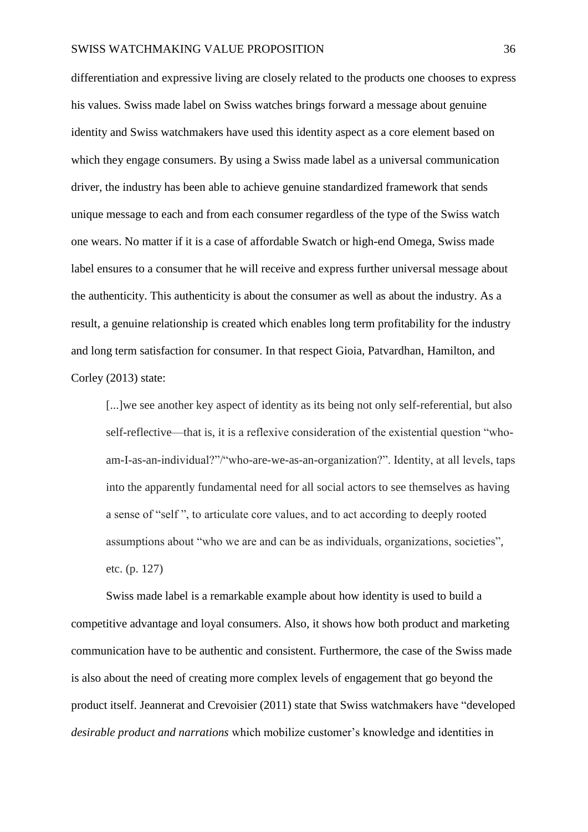#### SWISS WATCHMAKING VALUE PROPOSITION 36

differentiation and expressive living are closely related to the products one chooses to express his values. Swiss made label on Swiss watches brings forward a message about genuine identity and Swiss watchmakers have used this identity aspect as a core element based on which they engage consumers. By using a Swiss made label as a universal communication driver, the industry has been able to achieve genuine standardized framework that sends unique message to each and from each consumer regardless of the type of the Swiss watch one wears. No matter if it is a case of affordable Swatch or high-end Omega, Swiss made label ensures to a consumer that he will receive and express further universal message about the authenticity. This authenticity is about the consumer as well as about the industry. As a result, a genuine relationship is created which enables long term profitability for the industry and long term satisfaction for consumer. In that respect Gioia, Patvardhan, Hamilton, and Corley (2013) state:

[...] we see another key aspect of identity as its being not only self-referential, but also self-reflective—that is, it is a reflexive consideration of the existential question "whoam-I-as-an-individual?"/"who-are-we-as-an-organization?". Identity, at all levels, taps into the apparently fundamental need for all social actors to see themselves as having a sense of "self ", to articulate core values, and to act according to deeply rooted assumptions about "who we are and can be as individuals, organizations, societies", etc. (p. 127)

Swiss made label is a remarkable example about how identity is used to build a competitive advantage and loyal consumers. Also, it shows how both product and marketing communication have to be authentic and consistent. Furthermore, the case of the Swiss made is also about the need of creating more complex levels of engagement that go beyond the product itself. Jeannerat and Crevoisier (2011) state that Swiss watchmakers have "developed *desirable product and narrations* which mobilize customer's knowledge and identities in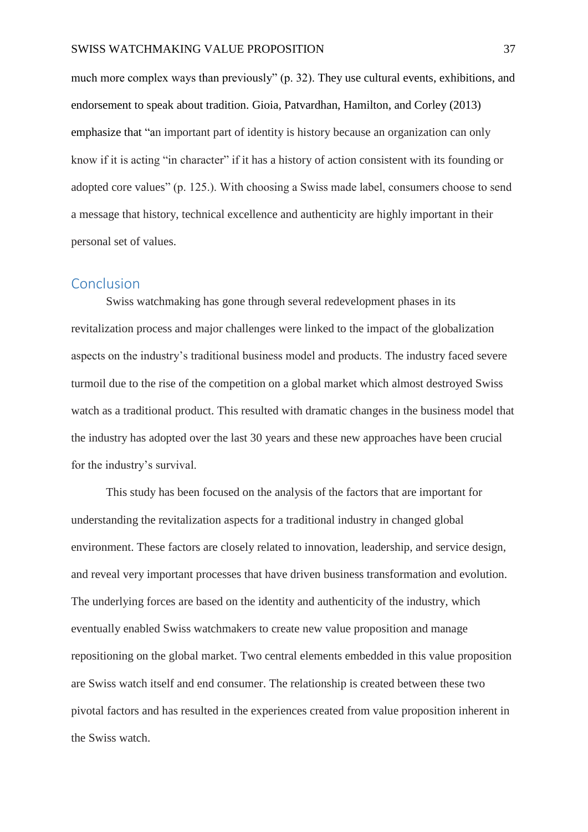much more complex ways than previously" (p. 32). They use cultural events, exhibitions, and endorsement to speak about tradition. Gioia, Patvardhan, Hamilton, and Corley (2013) emphasize that "an important part of identity is history because an organization can only know if it is acting "in character" if it has a history of action consistent with its founding or adopted core values" (p. 125.). With choosing a Swiss made label, consumers choose to send a message that history, technical excellence and authenticity are highly important in their personal set of values.

#### <span id="page-37-0"></span>Conclusion

Swiss watchmaking has gone through several redevelopment phases in its revitalization process and major challenges were linked to the impact of the globalization aspects on the industry's traditional business model and products. The industry faced severe turmoil due to the rise of the competition on a global market which almost destroyed Swiss watch as a traditional product. This resulted with dramatic changes in the business model that the industry has adopted over the last 30 years and these new approaches have been crucial for the industry's survival.

This study has been focused on the analysis of the factors that are important for understanding the revitalization aspects for a traditional industry in changed global environment. These factors are closely related to innovation, leadership, and service design, and reveal very important processes that have driven business transformation and evolution. The underlying forces are based on the identity and authenticity of the industry, which eventually enabled Swiss watchmakers to create new value proposition and manage repositioning on the global market. Two central elements embedded in this value proposition are Swiss watch itself and end consumer. The relationship is created between these two pivotal factors and has resulted in the experiences created from value proposition inherent in the Swiss watch.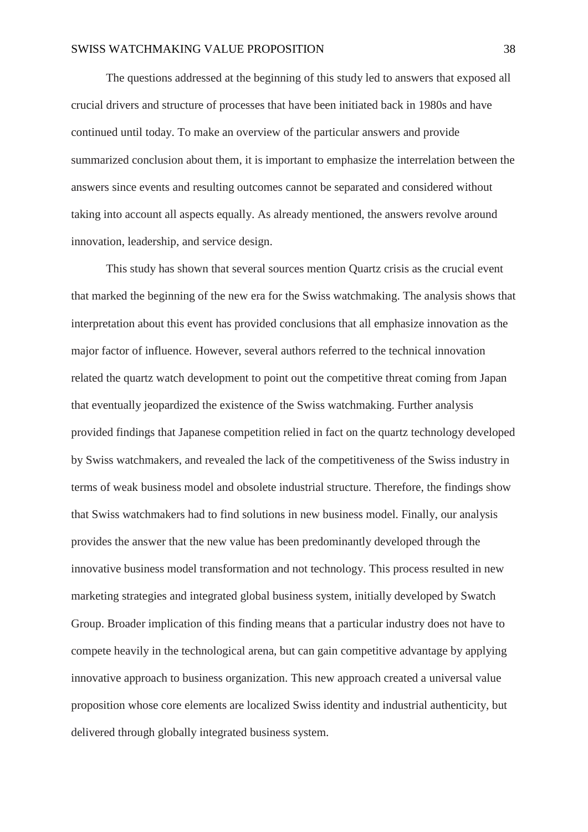The questions addressed at the beginning of this study led to answers that exposed all crucial drivers and structure of processes that have been initiated back in 1980s and have continued until today. To make an overview of the particular answers and provide summarized conclusion about them, it is important to emphasize the interrelation between the answers since events and resulting outcomes cannot be separated and considered without taking into account all aspects equally. As already mentioned, the answers revolve around innovation, leadership, and service design.

This study has shown that several sources mention Quartz crisis as the crucial event that marked the beginning of the new era for the Swiss watchmaking. The analysis shows that interpretation about this event has provided conclusions that all emphasize innovation as the major factor of influence. However, several authors referred to the technical innovation related the quartz watch development to point out the competitive threat coming from Japan that eventually jeopardized the existence of the Swiss watchmaking. Further analysis provided findings that Japanese competition relied in fact on the quartz technology developed by Swiss watchmakers, and revealed the lack of the competitiveness of the Swiss industry in terms of weak business model and obsolete industrial structure. Therefore, the findings show that Swiss watchmakers had to find solutions in new business model. Finally, our analysis provides the answer that the new value has been predominantly developed through the innovative business model transformation and not technology. This process resulted in new marketing strategies and integrated global business system, initially developed by Swatch Group. Broader implication of this finding means that a particular industry does not have to compete heavily in the technological arena, but can gain competitive advantage by applying innovative approach to business organization. This new approach created a universal value proposition whose core elements are localized Swiss identity and industrial authenticity, but delivered through globally integrated business system.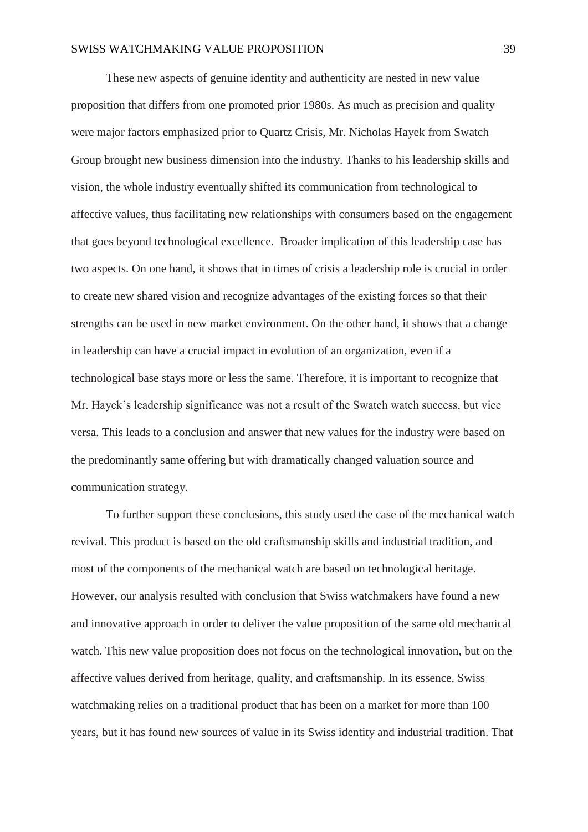These new aspects of genuine identity and authenticity are nested in new value proposition that differs from one promoted prior 1980s. As much as precision and quality were major factors emphasized prior to Quartz Crisis, Mr. Nicholas Hayek from Swatch Group brought new business dimension into the industry. Thanks to his leadership skills and vision, the whole industry eventually shifted its communication from technological to affective values, thus facilitating new relationships with consumers based on the engagement that goes beyond technological excellence. Broader implication of this leadership case has two aspects. On one hand, it shows that in times of crisis a leadership role is crucial in order to create new shared vision and recognize advantages of the existing forces so that their strengths can be used in new market environment. On the other hand, it shows that a change in leadership can have a crucial impact in evolution of an organization, even if a technological base stays more or less the same. Therefore, it is important to recognize that Mr. Hayek's leadership significance was not a result of the Swatch watch success, but vice versa. This leads to a conclusion and answer that new values for the industry were based on the predominantly same offering but with dramatically changed valuation source and communication strategy.

To further support these conclusions, this study used the case of the mechanical watch revival. This product is based on the old craftsmanship skills and industrial tradition, and most of the components of the mechanical watch are based on technological heritage. However, our analysis resulted with conclusion that Swiss watchmakers have found a new and innovative approach in order to deliver the value proposition of the same old mechanical watch. This new value proposition does not focus on the technological innovation, but on the affective values derived from heritage, quality, and craftsmanship. In its essence, Swiss watchmaking relies on a traditional product that has been on a market for more than 100 years, but it has found new sources of value in its Swiss identity and industrial tradition. That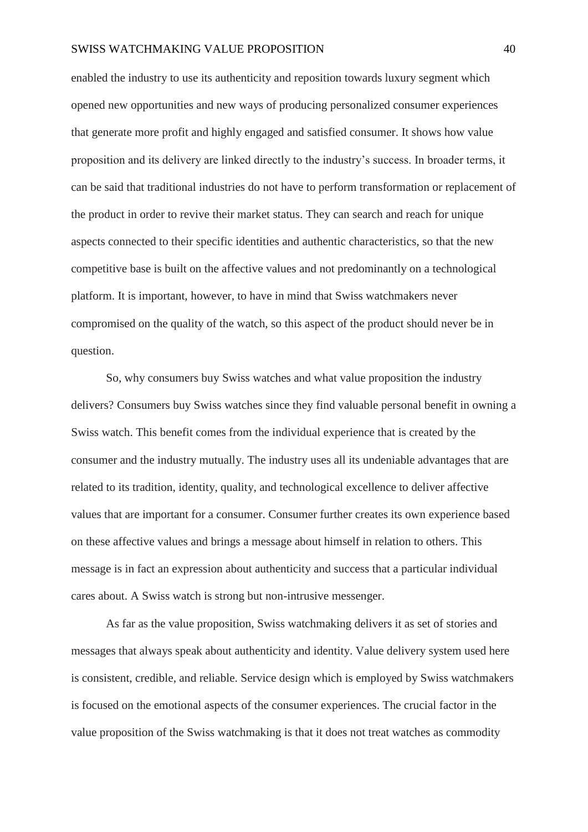#### SWISS WATCHMAKING VALUE PROPOSITION 40

enabled the industry to use its authenticity and reposition towards luxury segment which opened new opportunities and new ways of producing personalized consumer experiences that generate more profit and highly engaged and satisfied consumer. It shows how value proposition and its delivery are linked directly to the industry's success. In broader terms, it can be said that traditional industries do not have to perform transformation or replacement of the product in order to revive their market status. They can search and reach for unique aspects connected to their specific identities and authentic characteristics, so that the new competitive base is built on the affective values and not predominantly on a technological platform. It is important, however, to have in mind that Swiss watchmakers never compromised on the quality of the watch, so this aspect of the product should never be in question.

So, why consumers buy Swiss watches and what value proposition the industry delivers? Consumers buy Swiss watches since they find valuable personal benefit in owning a Swiss watch. This benefit comes from the individual experience that is created by the consumer and the industry mutually. The industry uses all its undeniable advantages that are related to its tradition, identity, quality, and technological excellence to deliver affective values that are important for a consumer. Consumer further creates its own experience based on these affective values and brings a message about himself in relation to others. This message is in fact an expression about authenticity and success that a particular individual cares about. A Swiss watch is strong but non-intrusive messenger.

As far as the value proposition, Swiss watchmaking delivers it as set of stories and messages that always speak about authenticity and identity. Value delivery system used here is consistent, credible, and reliable. Service design which is employed by Swiss watchmakers is focused on the emotional aspects of the consumer experiences. The crucial factor in the value proposition of the Swiss watchmaking is that it does not treat watches as commodity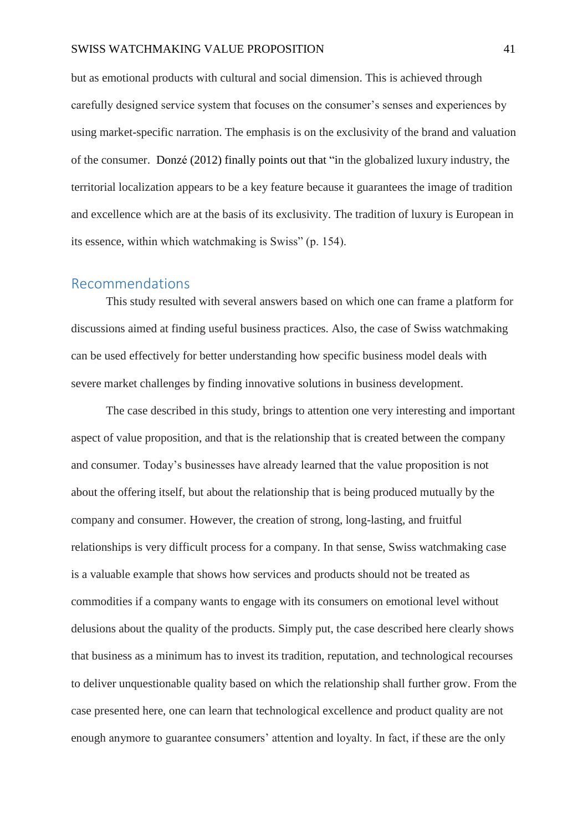but as emotional products with cultural and social dimension. This is achieved through carefully designed service system that focuses on the consumer's senses and experiences by using market-specific narration. The emphasis is on the exclusivity of the brand and valuation of the consumer. Donzé (2012) finally points out that "in the globalized luxury industry, the territorial localization appears to be a key feature because it guarantees the image of tradition and excellence which are at the basis of its exclusivity. The tradition of luxury is European in its essence, within which watchmaking is Swiss" (p. 154).

#### <span id="page-41-0"></span>Recommendations

This study resulted with several answers based on which one can frame a platform for discussions aimed at finding useful business practices. Also, the case of Swiss watchmaking can be used effectively for better understanding how specific business model deals with severe market challenges by finding innovative solutions in business development.

The case described in this study, brings to attention one very interesting and important aspect of value proposition, and that is the relationship that is created between the company and consumer. Today's businesses have already learned that the value proposition is not about the offering itself, but about the relationship that is being produced mutually by the company and consumer. However, the creation of strong, long-lasting, and fruitful relationships is very difficult process for a company. In that sense, Swiss watchmaking case is a valuable example that shows how services and products should not be treated as commodities if a company wants to engage with its consumers on emotional level without delusions about the quality of the products. Simply put, the case described here clearly shows that business as a minimum has to invest its tradition, reputation, and technological recourses to deliver unquestionable quality based on which the relationship shall further grow. From the case presented here, one can learn that technological excellence and product quality are not enough anymore to guarantee consumers' attention and loyalty. In fact, if these are the only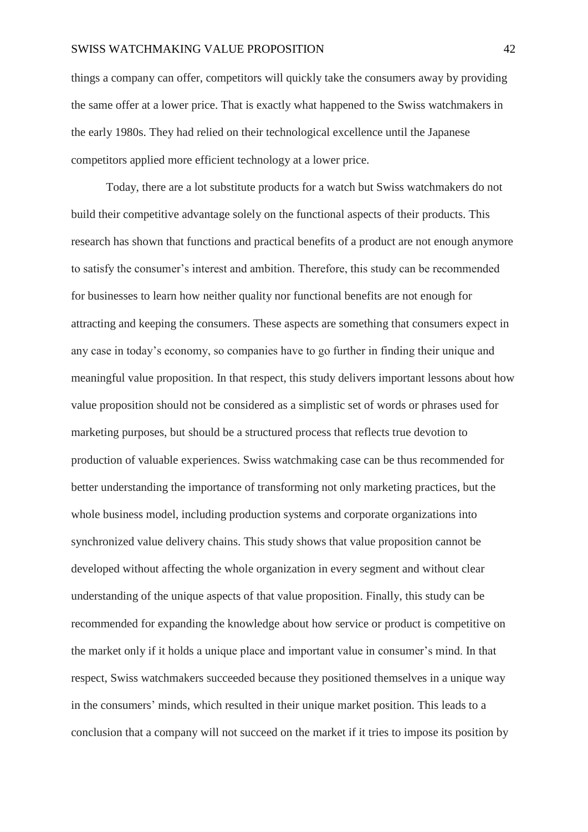#### SWISS WATCHMAKING VALUE PROPOSITION 42

things a company can offer, competitors will quickly take the consumers away by providing the same offer at a lower price. That is exactly what happened to the Swiss watchmakers in the early 1980s. They had relied on their technological excellence until the Japanese competitors applied more efficient technology at a lower price.

Today, there are a lot substitute products for a watch but Swiss watchmakers do not build their competitive advantage solely on the functional aspects of their products. This research has shown that functions and practical benefits of a product are not enough anymore to satisfy the consumer's interest and ambition. Therefore, this study can be recommended for businesses to learn how neither quality nor functional benefits are not enough for attracting and keeping the consumers. These aspects are something that consumers expect in any case in today's economy, so companies have to go further in finding their unique and meaningful value proposition. In that respect, this study delivers important lessons about how value proposition should not be considered as a simplistic set of words or phrases used for marketing purposes, but should be a structured process that reflects true devotion to production of valuable experiences. Swiss watchmaking case can be thus recommended for better understanding the importance of transforming not only marketing practices, but the whole business model, including production systems and corporate organizations into synchronized value delivery chains. This study shows that value proposition cannot be developed without affecting the whole organization in every segment and without clear understanding of the unique aspects of that value proposition. Finally, this study can be recommended for expanding the knowledge about how service or product is competitive on the market only if it holds a unique place and important value in consumer's mind. In that respect, Swiss watchmakers succeeded because they positioned themselves in a unique way in the consumers' minds, which resulted in their unique market position. This leads to a conclusion that a company will not succeed on the market if it tries to impose its position by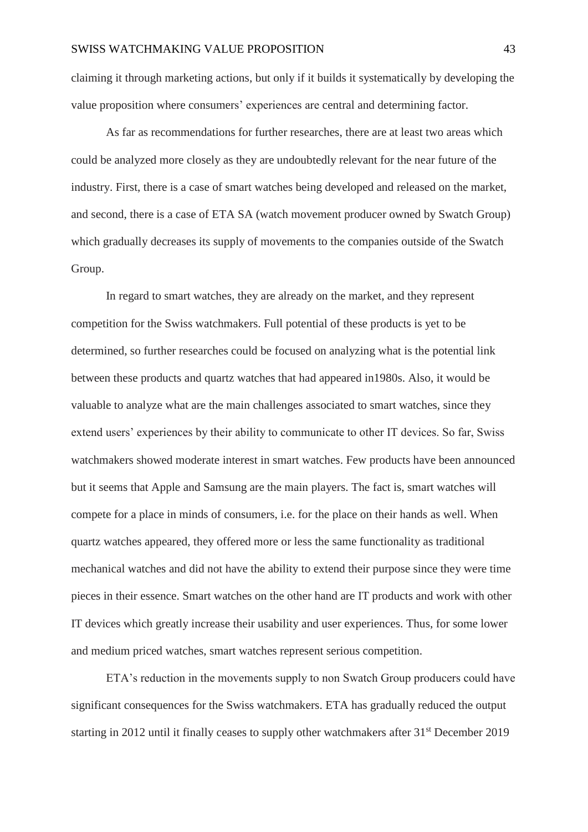claiming it through marketing actions, but only if it builds it systematically by developing the value proposition where consumers' experiences are central and determining factor.

As far as recommendations for further researches, there are at least two areas which could be analyzed more closely as they are undoubtedly relevant for the near future of the industry. First, there is a case of smart watches being developed and released on the market, and second, there is a case of ETA SA (watch movement producer owned by Swatch Group) which gradually decreases its supply of movements to the companies outside of the Swatch Group.

In regard to smart watches, they are already on the market, and they represent competition for the Swiss watchmakers. Full potential of these products is yet to be determined, so further researches could be focused on analyzing what is the potential link between these products and quartz watches that had appeared in1980s. Also, it would be valuable to analyze what are the main challenges associated to smart watches, since they extend users' experiences by their ability to communicate to other IT devices. So far, Swiss watchmakers showed moderate interest in smart watches. Few products have been announced but it seems that Apple and Samsung are the main players. The fact is, smart watches will compete for a place in minds of consumers, i.e. for the place on their hands as well. When quartz watches appeared, they offered more or less the same functionality as traditional mechanical watches and did not have the ability to extend their purpose since they were time pieces in their essence. Smart watches on the other hand are IT products and work with other IT devices which greatly increase their usability and user experiences. Thus, for some lower and medium priced watches, smart watches represent serious competition.

ETA's reduction in the movements supply to non Swatch Group producers could have significant consequences for the Swiss watchmakers. ETA has gradually reduced the output starting in 2012 until it finally ceases to supply other watchmakers after 31<sup>st</sup> December 2019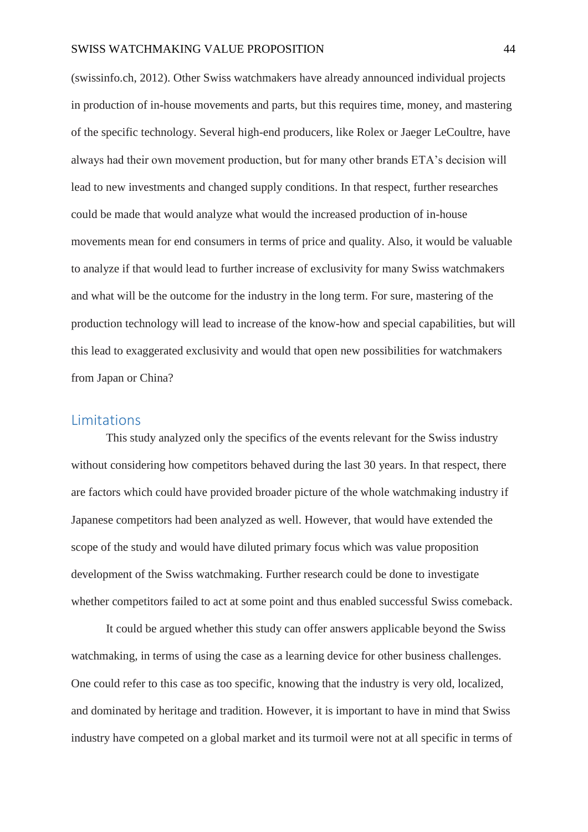#### SWISS WATCHMAKING VALUE PROPOSITION 44

(swissinfo.ch, 2012). Other Swiss watchmakers have already announced individual projects in production of in-house movements and parts, but this requires time, money, and mastering of the specific technology. Several high-end producers, like Rolex or Jaeger LeCoultre, have always had their own movement production, but for many other brands ETA's decision will lead to new investments and changed supply conditions. In that respect, further researches could be made that would analyze what would the increased production of in-house movements mean for end consumers in terms of price and quality. Also, it would be valuable to analyze if that would lead to further increase of exclusivity for many Swiss watchmakers and what will be the outcome for the industry in the long term. For sure, mastering of the production technology will lead to increase of the know-how and special capabilities, but will this lead to exaggerated exclusivity and would that open new possibilities for watchmakers from Japan or China?

#### <span id="page-44-0"></span>Limitations

This study analyzed only the specifics of the events relevant for the Swiss industry without considering how competitors behaved during the last 30 years. In that respect, there are factors which could have provided broader picture of the whole watchmaking industry if Japanese competitors had been analyzed as well. However, that would have extended the scope of the study and would have diluted primary focus which was value proposition development of the Swiss watchmaking. Further research could be done to investigate whether competitors failed to act at some point and thus enabled successful Swiss comeback.

It could be argued whether this study can offer answers applicable beyond the Swiss watchmaking, in terms of using the case as a learning device for other business challenges. One could refer to this case as too specific, knowing that the industry is very old, localized, and dominated by heritage and tradition. However, it is important to have in mind that Swiss industry have competed on a global market and its turmoil were not at all specific in terms of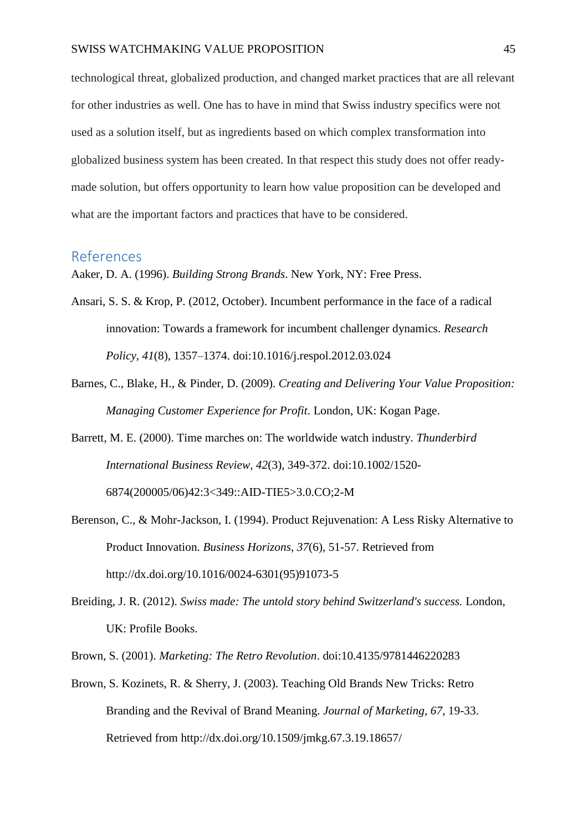technological threat, globalized production, and changed market practices that are all relevant for other industries as well. One has to have in mind that Swiss industry specifics were not used as a solution itself, but as ingredients based on which complex transformation into globalized business system has been created. In that respect this study does not offer readymade solution, but offers opportunity to learn how value proposition can be developed and what are the important factors and practices that have to be considered.

#### <span id="page-45-0"></span>References

Aaker, D. A. (1996). *Building Strong Brands*. New York, NY: Free Press.

- Ansari, S. S. & Krop, P. (2012, October). Incumbent performance in the face of a radical innovation: Towards a framework for incumbent challenger dynamics. *Research Policy*, *41*(8), 1357–1374. doi:10.1016/j.respol.2012.03.024
- Barnes, C., Blake, H., & Pinder, D. (2009). *Creating and Delivering Your Value Proposition: Managing Customer Experience for Profit*. London, UK: Kogan Page.
- Barrett, M. E. (2000). Time marches on: The worldwide watch industry. *Thunderbird International Business Review, 42*(3), 349-372. doi:10.1002/1520- 6874(200005/06)42:3<349::AID-TIE5>3.0.CO;2-M
- Berenson, C., & Mohr-Jackson, I. (1994). Product Rejuvenation: A Less Risky Alternative to Product Innovation. *Business Horizons, 37*(6), 51-57. Retrieved from http://dx.doi.org/10.1016/0024-6301(95)91073-5
- Breiding, J. R. (2012). *Swiss made: The untold story behind Switzerland's success.* London, UK: Profile Books.
- Brown, S. (2001). *Marketing: The Retro Revolution*. doi:10.4135/9781446220283
- Brown, S. Kozinets, R. & Sherry, J. (2003). Teaching Old Brands New Tricks: Retro Branding and the Revival of Brand Meaning. *Journal of Marketing, 67*, 19-33. Retrieved from http://dx.doi.org/10.1509/jmkg.67.3.19.18657/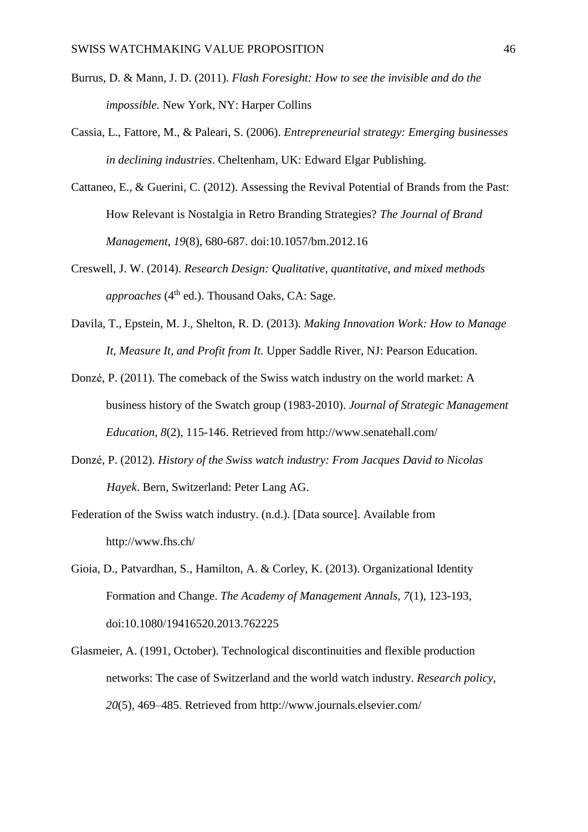- Burrus, D. & Mann, J. D. (2011). *Flash Foresight: How to see the invisible and do the impossible.* New York, NY: Harper Collins
- Cassia, L., Fattore, M., & Paleari, S. (2006). *Entrepreneurial strategy: Emerging businesses in declining industries*. Cheltenham, UK: Edward Elgar Publishing.
- Cattaneo, E., & Guerini, C. (2012). Assessing the Revival Potential of Brands from the Past: How Relevant is Nostalgia in Retro Branding Strategies? *The Journal of Brand Management, 19*(8), 680-687. doi:10.1057/bm.2012.16
- Creswell, J. W. (2014). *Research Design: Qualitative, quantitative, and mixed methods approaches* (4<sup>th</sup> ed.). Thousand Oaks, CA: Sage.
- Davila, T., Epstein, M. J., Shelton, R. D. (2013). *Making Innovation Work: How to Manage It, Measure It, and Profit from It.* Upper Saddle River, NJ: Pearson Education.
- Donzé, P. (2011). The comeback of the Swiss watch industry on the world market: A business history of the Swatch group (1983-2010). *Journal of Strategic Management Education, 8*(2), 115-146. Retrieved from http://www.senatehall.com/
- Donzé, P. (2012). *History of the Swiss watch industry: From Jacques David to Nicolas Hayek*. Bern, Switzerland: Peter Lang AG.
- Federation of the Swiss watch industry. (n.d.). [Data source]. Available from http://www.fhs.ch/
- Gioia, D., Patvardhan, S., Hamilton, A. & Corley, K. (2013). Organizational Identity Formation and Change. *The Academy of Management Annals, 7*(1), 123-193, doi:10.1080/19416520.2013.762225
- Glasmeier, A. (1991, October). Technological discontinuities and flexible production networks: The case of Switzerland and the world watch industry. *Research policy, 20*(5)*,* 469–485. Retrieved from http://www.journals.elsevier.com/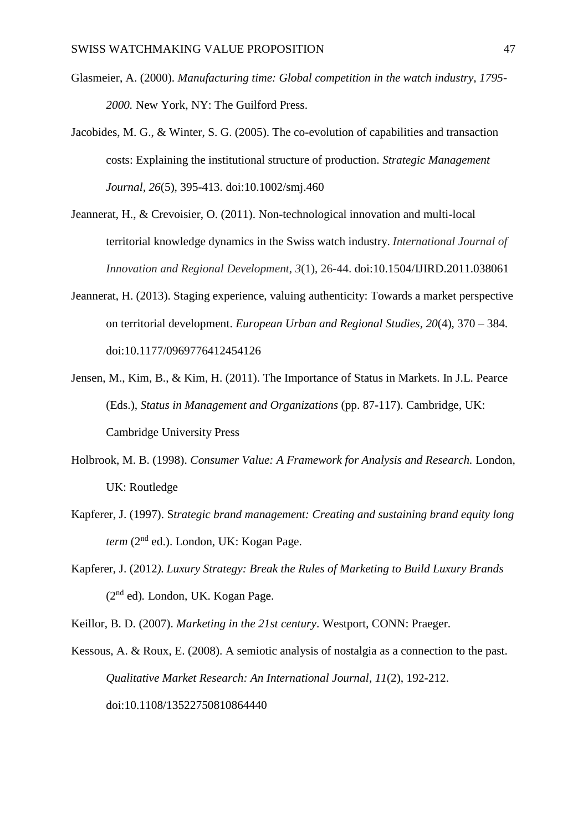- Glasmeier, A. (2000). *Manufacturing time: Global competition in the watch industry, 1795- 2000.* New York, NY: The Guilford Press.
- Jacobides, M. G., & Winter, S. G. (2005). The co-evolution of capabilities and transaction costs: Explaining the institutional structure of production. *Strategic Management Journal, 26*(5), 395-413. doi:10.1002/smj.460
- Jeannerat, H., & Crevoisier, O. (2011). Non-technological innovation and multi-local territorial knowledge dynamics in the Swiss watch industry. *International Journal of Innovation and Regional Development*, *3*(1), 26-44. doi:10.1504/IJIRD.2011.038061
- Jeannerat, H. (2013). Staging experience, valuing authenticity: Towards a market perspective on territorial development. *European Urban and Regional Studies, 20*(4), 370 – 384. doi:10.1177/0969776412454126
- Jensen, M., Kim, B., & Kim, H. (2011). The Importance of Status in Markets. In J.L. Pearce (Eds.), *Status in Management and Organizations* (pp. 87-117). Cambridge, UK: Cambridge University Press
- Holbrook, M. B. (1998). *Consumer Value: A Framework for Analysis and Research.* London, UK: Routledge
- Kapferer, J. (1997). S*trategic brand management: Creating and sustaining brand equity long term* (2nd ed.). London, UK: Kogan Page.
- Kapferer, J. (2012*). Luxury Strategy: Break the Rules of Marketing to Build Luxury Brands*  (2nd ed)*.* London, UK. Kogan Page.
- Keillor, B. D. (2007). *Marketing in the 21st century*. Westport, CONN: Praeger.
- Kessous, A. & Roux, E. (2008). A semiotic analysis of nostalgia as a connection to the past. *Qualitative Market Research: An International Journal, 11*(2), 192-212. doi:10.1108/13522750810864440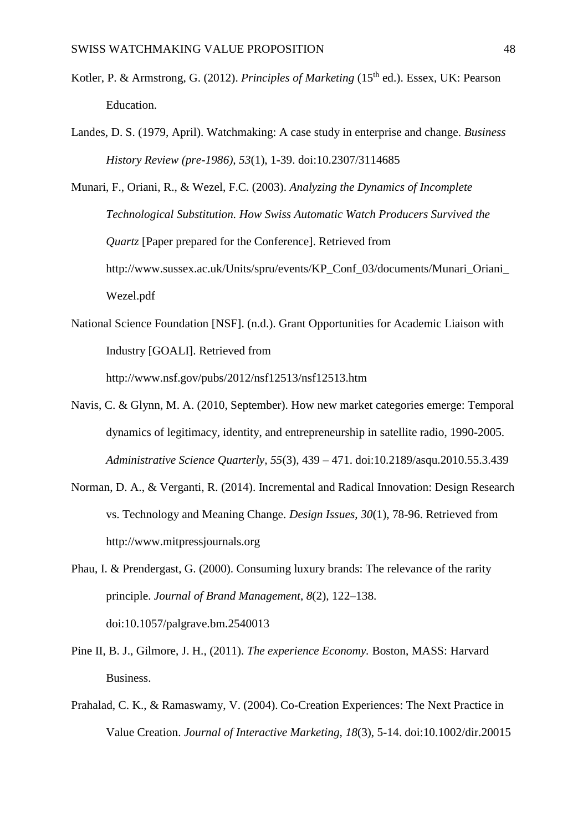- Kotler, P. & Armstrong, G. (2012). *Principles of Marketing* (15th ed.). Essex, UK: Pearson Education.
- Landes, D. S. (1979, April). Watchmaking: A case study in enterprise and change. *Business History Review (pre-1986), 53*(1), 1-39. doi:10.2307/3114685
- Munari, F., Oriani, R., & Wezel, F.C. (2003). *Analyzing the Dynamics of Incomplete Technological Substitution. How Swiss Automatic Watch Producers Survived the Quartz* [Paper prepared for the Conference]. Retrieved from http://www.sussex.ac.uk/Units/spru/events/KP\_Conf\_03/documents/Munari\_Oriani\_ Wezel.pdf
- National Science Foundation [NSF]. (n.d.). Grant Opportunities for Academic Liaison with Industry [GOALI]. Retrieved from http://www.nsf.gov/pubs/2012/nsf12513/nsf12513.htm
- Navis, C. & Glynn, M. A. (2010, September). How new market categories emerge: Temporal dynamics of legitimacy, identity, and entrepreneurship in satellite radio, 1990-2005. *Administrative Science Quarterly, 55*(3)*,* 439 – 471. doi:10.2189/asqu.2010.55.3.439
- Norman, D. A., & Verganti, R. (2014). Incremental and Radical Innovation: Design Research vs. Technology and Meaning Change. *Design Issues*, *30*(1), 78-96. Retrieved from http://www.mitpressjournals.org
- Phau, I. & Prendergast, G. (2000). Consuming luxury brands: The relevance of the rarity principle. *Journal of Brand Management*, *8*(2)*,* 122–138. doi:10.1057/palgrave.bm.2540013
- Pine II, B. J., Gilmore, J. H., (2011). *The experience Economy.* Boston, MASS: Harvard Business.
- Prahalad, C. K., & Ramaswamy, V. (2004). Co-Creation Experiences: The Next Practice in Value Creation. *Journal of Interactive Marketing, 18*(3), 5-14. doi:10.1002/dir.20015